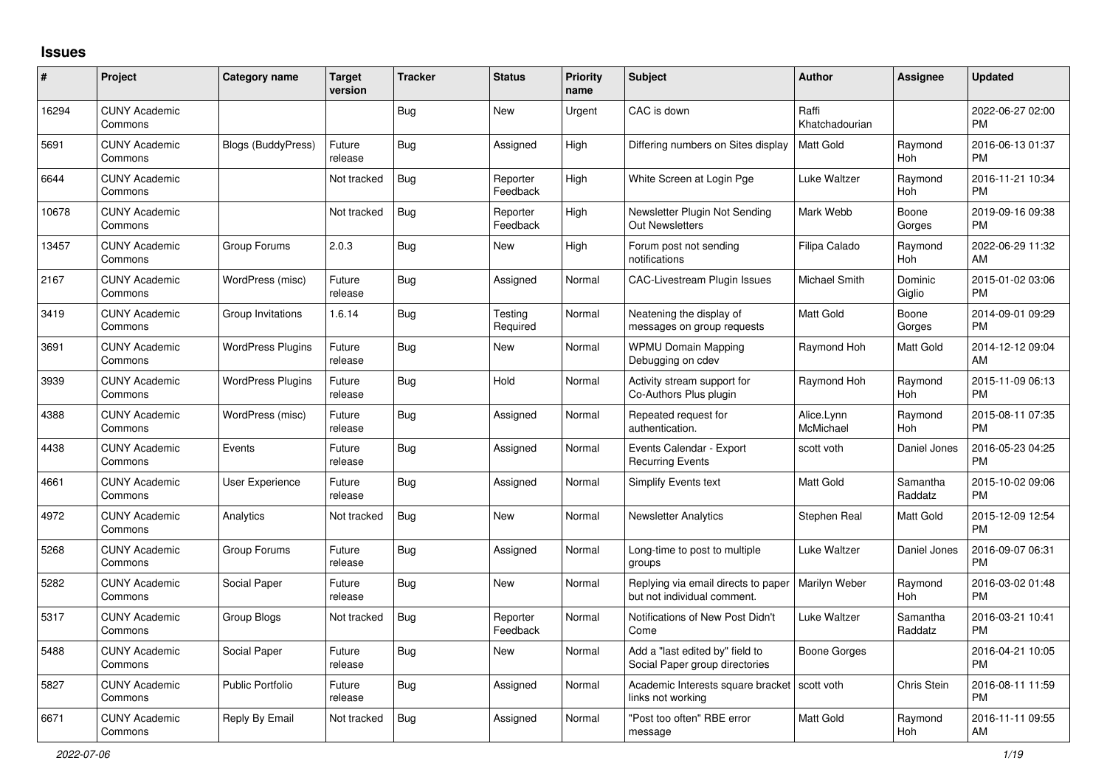## **Issues**

| #     | Project                         | <b>Category name</b>      | <b>Target</b><br>version | <b>Tracker</b> | <b>Status</b>        | <b>Priority</b><br>name | <b>Subject</b>                                                      | <b>Author</b>           | <b>Assignee</b>     | <b>Updated</b>                |
|-------|---------------------------------|---------------------------|--------------------------|----------------|----------------------|-------------------------|---------------------------------------------------------------------|-------------------------|---------------------|-------------------------------|
| 16294 | <b>CUNY Academic</b><br>Commons |                           |                          | Bug            | <b>New</b>           | Urgent                  | CAC is down                                                         | Raffi<br>Khatchadourian |                     | 2022-06-27 02:00<br><b>PM</b> |
| 5691  | <b>CUNY Academic</b><br>Commons | <b>Blogs (BuddyPress)</b> | Future<br>release        | Bug            | Assigned             | High                    | Differing numbers on Sites display                                  | Matt Gold               | Raymond<br>Hoh      | 2016-06-13 01:37<br><b>PM</b> |
| 6644  | <b>CUNY Academic</b><br>Commons |                           | Not tracked              | Bug            | Reporter<br>Feedback | High                    | White Screen at Login Pge                                           | Luke Waltzer            | Raymond<br>Hoh      | 2016-11-21 10:34<br><b>PM</b> |
| 10678 | <b>CUNY Academic</b><br>Commons |                           | Not tracked              | <b>Bug</b>     | Reporter<br>Feedback | High                    | Newsletter Plugin Not Sending<br><b>Out Newsletters</b>             | Mark Webb               | Boone<br>Gorges     | 2019-09-16 09:38<br><b>PM</b> |
| 13457 | <b>CUNY Academic</b><br>Commons | Group Forums              | 2.0.3                    | <b>Bug</b>     | <b>New</b>           | High                    | Forum post not sending<br>notifications                             | Filipa Calado           | Raymond<br>Hoh      | 2022-06-29 11:32<br>AM        |
| 2167  | <b>CUNY Academic</b><br>Commons | WordPress (misc)          | Future<br>release        | <b>Bug</b>     | Assigned             | Normal                  | <b>CAC-Livestream Plugin Issues</b>                                 | Michael Smith           | Dominic<br>Giglio   | 2015-01-02 03:06<br><b>PM</b> |
| 3419  | <b>CUNY Academic</b><br>Commons | Group Invitations         | 1.6.14                   | Bug            | Testing<br>Required  | Normal                  | Neatening the display of<br>messages on group requests              | <b>Matt Gold</b>        | Boone<br>Gorges     | 2014-09-01 09:29<br><b>PM</b> |
| 3691  | <b>CUNY Academic</b><br>Commons | <b>WordPress Plugins</b>  | Future<br>release        | Bug            | <b>New</b>           | Normal                  | <b>WPMU Domain Mapping</b><br>Debugging on cdev                     | Raymond Hoh             | Matt Gold           | 2014-12-12 09:04<br>AM        |
| 3939  | <b>CUNY Academic</b><br>Commons | <b>WordPress Plugins</b>  | Future<br>release        | Bug            | Hold                 | Normal                  | Activity stream support for<br>Co-Authors Plus plugin               | Raymond Hoh             | Raymond<br>Hoh      | 2015-11-09 06:13<br><b>PM</b> |
| 4388  | <b>CUNY Academic</b><br>Commons | WordPress (misc)          | Future<br>release        | <b>Bug</b>     | Assigned             | Normal                  | Repeated request for<br>authentication.                             | Alice.Lynn<br>McMichael | Raymond<br>Hoh      | 2015-08-11 07:35<br><b>PM</b> |
| 4438  | <b>CUNY Academic</b><br>Commons | Events                    | Future<br>release        | Bug            | Assigned             | Normal                  | Events Calendar - Export<br><b>Recurring Events</b>                 | scott voth              | Daniel Jones        | 2016-05-23 04:25<br><b>PM</b> |
| 4661  | <b>CUNY Academic</b><br>Commons | User Experience           | Future<br>release        | <b>Bug</b>     | Assigned             | Normal                  | Simplify Events text                                                | <b>Matt Gold</b>        | Samantha<br>Raddatz | 2015-10-02 09:06<br><b>PM</b> |
| 4972  | <b>CUNY Academic</b><br>Commons | Analytics                 | Not tracked              | Bug            | <b>New</b>           | Normal                  | <b>Newsletter Analytics</b>                                         | Stephen Real            | Matt Gold           | 2015-12-09 12:54<br><b>PM</b> |
| 5268  | <b>CUNY Academic</b><br>Commons | Group Forums              | Future<br>release        | <b>Bug</b>     | Assigned             | Normal                  | Long-time to post to multiple<br>groups                             | Luke Waltzer            | Daniel Jones        | 2016-09-07 06:31<br><b>PM</b> |
| 5282  | <b>CUNY Academic</b><br>Commons | Social Paper              | Future<br>release        | Bug            | <b>New</b>           | Normal                  | Replying via email directs to paper<br>but not individual comment.  | Marilyn Weber           | Raymond<br>Hoh      | 2016-03-02 01:48<br><b>PM</b> |
| 5317  | <b>CUNY Academic</b><br>Commons | Group Blogs               | Not tracked              | <b>Bug</b>     | Reporter<br>Feedback | Normal                  | Notifications of New Post Didn't<br>Come                            | Luke Waltzer            | Samantha<br>Raddatz | 2016-03-21 10:41<br><b>PM</b> |
| 5488  | <b>CUNY Academic</b><br>Commons | Social Paper              | Future<br>release        | Bug            | <b>New</b>           | Normal                  | Add a "last edited by" field to<br>Social Paper group directories   | Boone Gorges            |                     | 2016-04-21 10:05<br><b>PM</b> |
| 5827  | <b>CUNY Academic</b><br>Commons | <b>Public Portfolio</b>   | Future<br>release        | <b>Bug</b>     | Assigned             | Normal                  | Academic Interests square bracket   scott voth<br>links not working |                         | Chris Stein         | 2016-08-11 11:59<br><b>PM</b> |
| 6671  | <b>CUNY Academic</b><br>Commons | Reply By Email            | Not tracked              | Bug            | Assigned             | Normal                  | 'Post too often" RBE error<br>message                               | <b>Matt Gold</b>        | Raymond<br>Hoh      | 2016-11-11 09:55<br>AM        |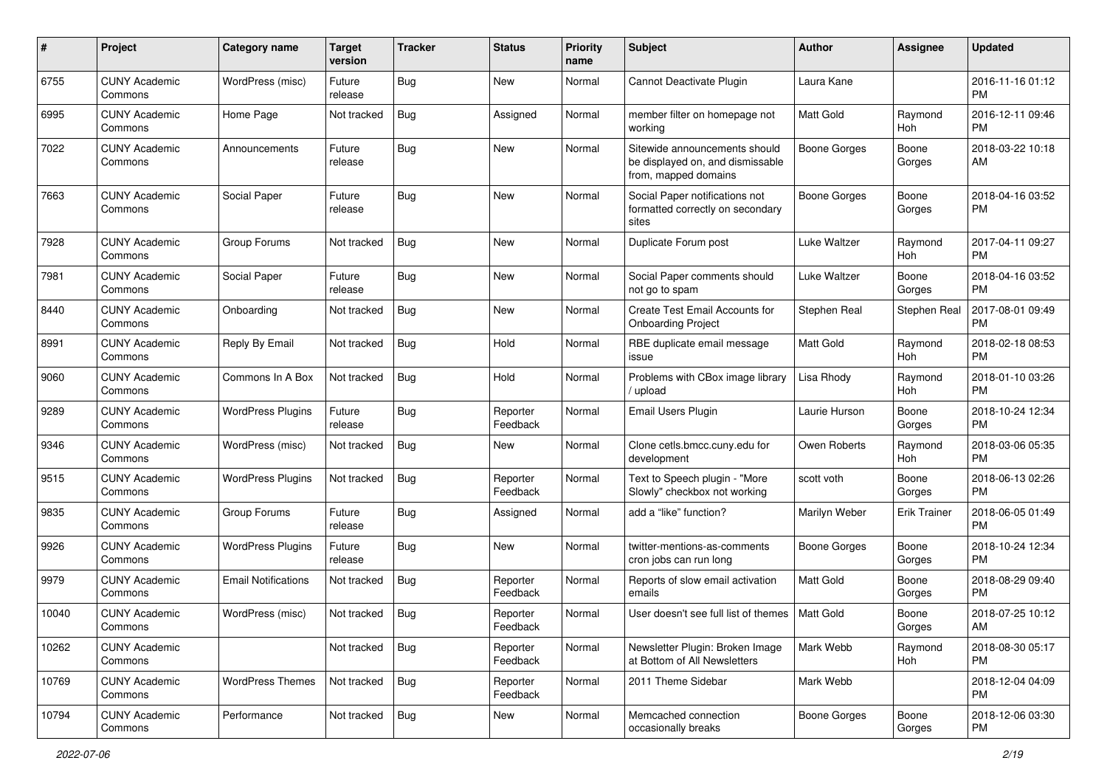| #     | Project                         | <b>Category name</b>       | <b>Target</b><br>version | <b>Tracker</b> | <b>Status</b>        | <b>Priority</b><br>name | <b>Subject</b>                                                                            | Author              | <b>Assignee</b>     | <b>Updated</b>                |
|-------|---------------------------------|----------------------------|--------------------------|----------------|----------------------|-------------------------|-------------------------------------------------------------------------------------------|---------------------|---------------------|-------------------------------|
| 6755  | <b>CUNY Academic</b><br>Commons | WordPress (misc)           | Future<br>release        | <b>Bug</b>     | New                  | Normal                  | Cannot Deactivate Plugin                                                                  | Laura Kane          |                     | 2016-11-16 01:12<br><b>PM</b> |
| 6995  | <b>CUNY Academic</b><br>Commons | Home Page                  | Not tracked              | <b>Bug</b>     | Assigned             | Normal                  | member filter on homepage not<br>working                                                  | <b>Matt Gold</b>    | Raymond<br>Hoh      | 2016-12-11 09:46<br><b>PM</b> |
| 7022  | <b>CUNY Academic</b><br>Commons | Announcements              | Future<br>release        | <b>Bug</b>     | New                  | Normal                  | Sitewide announcements should<br>be displayed on, and dismissable<br>from, mapped domains | <b>Boone Gorges</b> | Boone<br>Gorges     | 2018-03-22 10:18<br>AM        |
| 7663  | <b>CUNY Academic</b><br>Commons | Social Paper               | Future<br>release        | <b>Bug</b>     | New                  | Normal                  | Social Paper notifications not<br>formatted correctly on secondary<br>sites               | <b>Boone Gorges</b> | Boone<br>Gorges     | 2018-04-16 03:52<br><b>PM</b> |
| 7928  | <b>CUNY Academic</b><br>Commons | Group Forums               | Not tracked              | Bug            | New                  | Normal                  | Duplicate Forum post                                                                      | Luke Waltzer        | Raymond<br>Hoh      | 2017-04-11 09:27<br><b>PM</b> |
| 7981  | <b>CUNY Academic</b><br>Commons | Social Paper               | Future<br>release        | <b>Bug</b>     | New                  | Normal                  | Social Paper comments should<br>not go to spam                                            | Luke Waltzer        | Boone<br>Gorges     | 2018-04-16 03:52<br><b>PM</b> |
| 8440  | <b>CUNY Academic</b><br>Commons | Onboarding                 | Not tracked              | Bug            | <b>New</b>           | Normal                  | Create Test Email Accounts for<br><b>Onboarding Project</b>                               | Stephen Real        | Stephen Real        | 2017-08-01 09:49<br><b>PM</b> |
| 8991  | <b>CUNY Academic</b><br>Commons | Reply By Email             | Not tracked              | <b>Bug</b>     | Hold                 | Normal                  | RBE duplicate email message<br>issue                                                      | Matt Gold           | Raymond<br>Hoh      | 2018-02-18 08:53<br><b>PM</b> |
| 9060  | <b>CUNY Academic</b><br>Commons | Commons In A Box           | Not tracked              | Bug            | Hold                 | Normal                  | Problems with CBox image library<br>/ upload                                              | Lisa Rhody          | Raymond<br>Hoh      | 2018-01-10 03:26<br><b>PM</b> |
| 9289  | <b>CUNY Academic</b><br>Commons | <b>WordPress Plugins</b>   | Future<br>release        | Bug            | Reporter<br>Feedback | Normal                  | Email Users Plugin                                                                        | Laurie Hurson       | Boone<br>Gorges     | 2018-10-24 12:34<br><b>PM</b> |
| 9346  | <b>CUNY Academic</b><br>Commons | WordPress (misc)           | Not tracked              | Bug            | New                  | Normal                  | Clone cetls.bmcc.cuny.edu for<br>development                                              | Owen Roberts        | Raymond<br>Hoh      | 2018-03-06 05:35<br><b>PM</b> |
| 9515  | <b>CUNY Academic</b><br>Commons | <b>WordPress Plugins</b>   | Not tracked              | <b>Bug</b>     | Reporter<br>Feedback | Normal                  | Text to Speech plugin - "More<br>Slowly" checkbox not working                             | scott voth          | Boone<br>Gorges     | 2018-06-13 02:26<br><b>PM</b> |
| 9835  | <b>CUNY Academic</b><br>Commons | Group Forums               | Future<br>release        | <b>Bug</b>     | Assigned             | Normal                  | add a "like" function?                                                                    | Marilyn Weber       | <b>Erik Trainer</b> | 2018-06-05 01:49<br><b>PM</b> |
| 9926  | <b>CUNY Academic</b><br>Commons | <b>WordPress Plugins</b>   | Future<br>release        | Bug            | New                  | Normal                  | twitter-mentions-as-comments<br>cron jobs can run long                                    | <b>Boone Gorges</b> | Boone<br>Gorges     | 2018-10-24 12:34<br><b>PM</b> |
| 9979  | <b>CUNY Academic</b><br>Commons | <b>Email Notifications</b> | Not tracked              | Bug            | Reporter<br>Feedback | Normal                  | Reports of slow email activation<br>emails                                                | <b>Matt Gold</b>    | Boone<br>Gorges     | 2018-08-29 09:40<br><b>PM</b> |
| 10040 | <b>CUNY Academic</b><br>Commons | WordPress (misc)           | Not tracked              | <b>Bug</b>     | Reporter<br>Feedback | Normal                  | User doesn't see full list of themes   Matt Gold                                          |                     | Boone<br>Gorges     | 2018-07-25 10:12<br>AM        |
| 10262 | <b>CUNY Academic</b><br>Commons |                            | Not tracked              | Bug            | Reporter<br>Feedback | Normal                  | Newsletter Plugin: Broken Image<br>at Bottom of All Newsletters                           | Mark Webb           | Raymond<br>Hoh      | 2018-08-30 05:17<br><b>PM</b> |
| 10769 | <b>CUNY Academic</b><br>Commons | <b>WordPress Themes</b>    | Not tracked              | Bug            | Reporter<br>Feedback | Normal                  | 2011 Theme Sidebar                                                                        | Mark Webb           |                     | 2018-12-04 04:09<br><b>PM</b> |
| 10794 | <b>CUNY Academic</b><br>Commons | Performance                | Not tracked              | Bug            | New                  | Normal                  | Memcached connection<br>occasionally breaks                                               | <b>Boone Gorges</b> | Boone<br>Gorges     | 2018-12-06 03:30<br><b>PM</b> |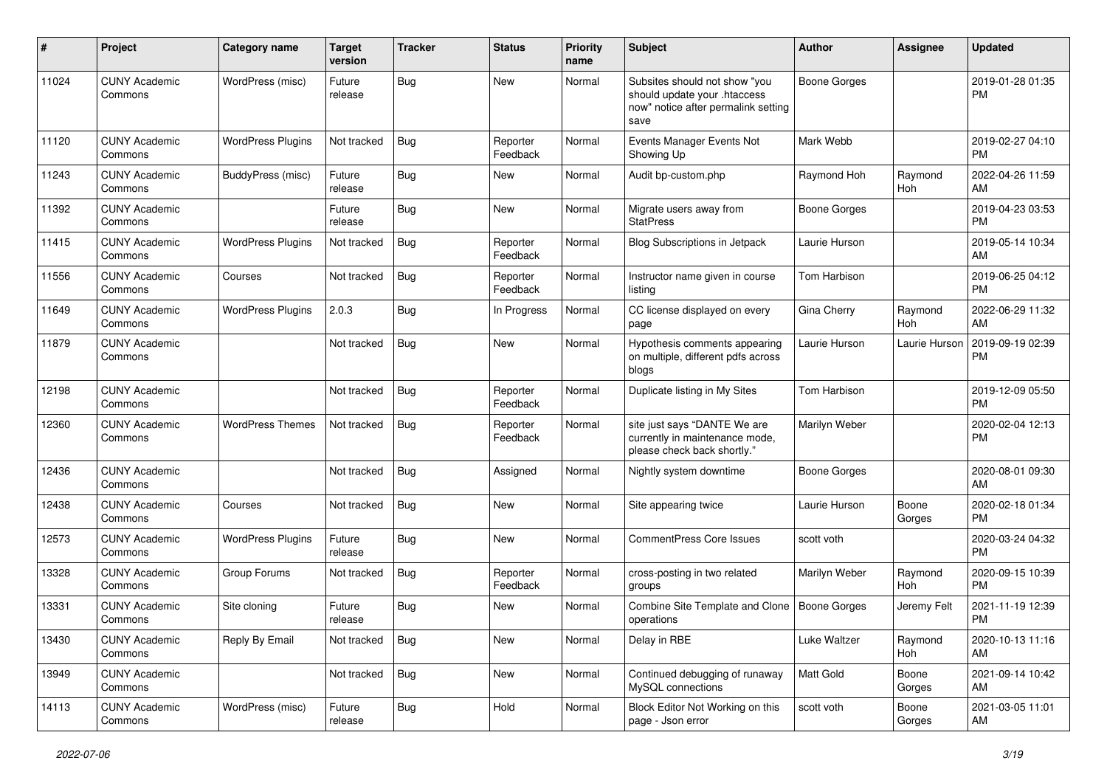| #     | Project                         | <b>Category name</b>     | <b>Target</b><br>version | <b>Tracker</b> | <b>Status</b>        | Priority<br>name | <b>Subject</b>                                                                                               | Author              | <b>Assignee</b>       | <b>Updated</b>                |
|-------|---------------------------------|--------------------------|--------------------------|----------------|----------------------|------------------|--------------------------------------------------------------------------------------------------------------|---------------------|-----------------------|-------------------------------|
| 11024 | <b>CUNY Academic</b><br>Commons | WordPress (misc)         | Future<br>release        | Bug            | <b>New</b>           | Normal           | Subsites should not show "you<br>should update your .htaccess<br>now" notice after permalink setting<br>save | <b>Boone Gorges</b> |                       | 2019-01-28 01:35<br><b>PM</b> |
| 11120 | <b>CUNY Academic</b><br>Commons | <b>WordPress Plugins</b> | Not tracked              | <b>Bug</b>     | Reporter<br>Feedback | Normal           | Events Manager Events Not<br>Showing Up                                                                      | Mark Webb           |                       | 2019-02-27 04:10<br><b>PM</b> |
| 11243 | <b>CUNY Academic</b><br>Commons | BuddyPress (misc)        | Future<br>release        | <b>Bug</b>     | New                  | Normal           | Audit bp-custom.php                                                                                          | Raymond Hoh         | Raymond<br>Hoh        | 2022-04-26 11:59<br>AM        |
| 11392 | <b>CUNY Academic</b><br>Commons |                          | Future<br>release        | <b>Bug</b>     | <b>New</b>           | Normal           | Migrate users away from<br><b>StatPress</b>                                                                  | <b>Boone Gorges</b> |                       | 2019-04-23 03:53<br><b>PM</b> |
| 11415 | <b>CUNY Academic</b><br>Commons | <b>WordPress Plugins</b> | Not tracked              | <b>Bug</b>     | Reporter<br>Feedback | Normal           | <b>Blog Subscriptions in Jetpack</b>                                                                         | Laurie Hurson       |                       | 2019-05-14 10:34<br>AM        |
| 11556 | <b>CUNY Academic</b><br>Commons | Courses                  | Not tracked              | Bug            | Reporter<br>Feedback | Normal           | Instructor name given in course<br>listing                                                                   | <b>Tom Harbison</b> |                       | 2019-06-25 04:12<br><b>PM</b> |
| 11649 | <b>CUNY Academic</b><br>Commons | <b>WordPress Plugins</b> | 2.0.3                    | <b>Bug</b>     | In Progress          | Normal           | CC license displayed on every<br>page                                                                        | Gina Cherry         | Raymond<br><b>Hoh</b> | 2022-06-29 11:32<br>AM        |
| 11879 | <b>CUNY Academic</b><br>Commons |                          | Not tracked              | <b>Bug</b>     | New                  | Normal           | Hypothesis comments appearing<br>on multiple, different pdfs across<br>blogs                                 | Laurie Hurson       | Laurie Hurson         | 2019-09-19 02:39<br><b>PM</b> |
| 12198 | <b>CUNY Academic</b><br>Commons |                          | Not tracked              | <b>Bug</b>     | Reporter<br>Feedback | Normal           | Duplicate listing in My Sites                                                                                | <b>Tom Harbison</b> |                       | 2019-12-09 05:50<br><b>PM</b> |
| 12360 | <b>CUNY Academic</b><br>Commons | <b>WordPress Themes</b>  | Not tracked              | <b>Bug</b>     | Reporter<br>Feedback | Normal           | site just says "DANTE We are<br>currently in maintenance mode,<br>please check back shortly."                | Marilyn Weber       |                       | 2020-02-04 12:13<br><b>PM</b> |
| 12436 | <b>CUNY Academic</b><br>Commons |                          | Not tracked              | <b>Bug</b>     | Assigned             | Normal           | Nightly system downtime                                                                                      | Boone Gorges        |                       | 2020-08-01 09:30<br>AM        |
| 12438 | <b>CUNY Academic</b><br>Commons | Courses                  | Not tracked              | Bug            | New                  | Normal           | Site appearing twice                                                                                         | Laurie Hurson       | Boone<br>Gorges       | 2020-02-18 01:34<br><b>PM</b> |
| 12573 | <b>CUNY Academic</b><br>Commons | <b>WordPress Plugins</b> | Future<br>release        | <b>Bug</b>     | <b>New</b>           | Normal           | <b>CommentPress Core Issues</b>                                                                              | scott voth          |                       | 2020-03-24 04:32<br><b>PM</b> |
| 13328 | <b>CUNY Academic</b><br>Commons | Group Forums             | Not tracked              | Bug            | Reporter<br>Feedback | Normal           | cross-posting in two related<br>groups                                                                       | Marilyn Weber       | Raymond<br>Hoh        | 2020-09-15 10:39<br><b>PM</b> |
| 13331 | <b>CUNY Academic</b><br>Commons | Site cloning             | Future<br>release        | <b>Bug</b>     | New                  | Normal           | Combine Site Template and Clone<br>operations                                                                | <b>Boone Gorges</b> | Jeremy Felt           | 2021-11-19 12:39<br><b>PM</b> |
| 13430 | <b>CUNY Academic</b><br>Commons | Reply By Email           | Not tracked              | <b>Bug</b>     | New                  | Normal           | Delay in RBE                                                                                                 | Luke Waltzer        | Raymond<br>Hoh        | 2020-10-13 11:16<br>AM        |
| 13949 | <b>CUNY Academic</b><br>Commons |                          | Not tracked              | <b>Bug</b>     | New                  | Normal           | Continued debugging of runaway<br>MySQL connections                                                          | Matt Gold           | Boone<br>Gorges       | 2021-09-14 10:42<br>AM        |
| 14113 | <b>CUNY Academic</b><br>Commons | WordPress (misc)         | Future<br>release        | <b>Bug</b>     | Hold                 | Normal           | Block Editor Not Working on this<br>page - Json error                                                        | scott voth          | Boone<br>Gorges       | 2021-03-05 11:01<br>AM        |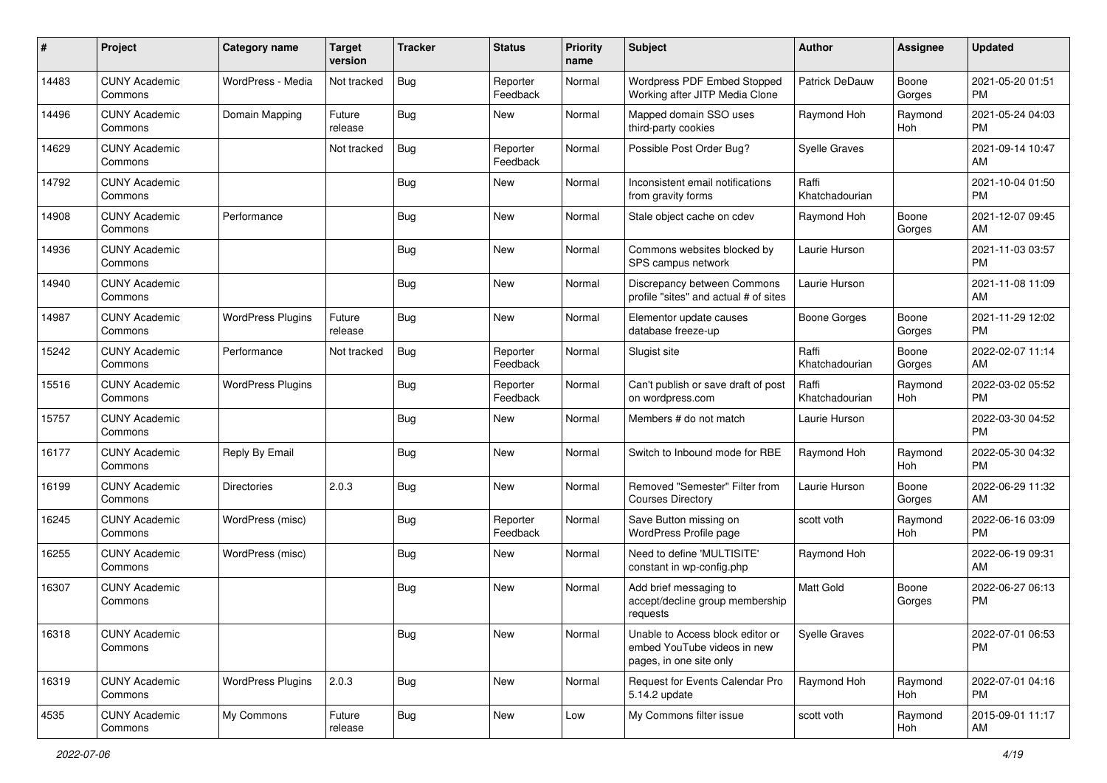| #     | Project                         | <b>Category name</b>     | <b>Target</b><br>version | <b>Tracker</b> | <b>Status</b>        | <b>Priority</b><br>name | <b>Subject</b>                                                                             | <b>Author</b>           | <b>Assignee</b> | <b>Updated</b>                |
|-------|---------------------------------|--------------------------|--------------------------|----------------|----------------------|-------------------------|--------------------------------------------------------------------------------------------|-------------------------|-----------------|-------------------------------|
| 14483 | <b>CUNY Academic</b><br>Commons | WordPress - Media        | Not tracked              | <b>Bug</b>     | Reporter<br>Feedback | Normal                  | Wordpress PDF Embed Stopped<br>Working after JITP Media Clone                              | Patrick DeDauw          | Boone<br>Gorges | 2021-05-20 01:51<br><b>PM</b> |
| 14496 | <b>CUNY Academic</b><br>Commons | Domain Mapping           | Future<br>release        | Bug            | New                  | Normal                  | Mapped domain SSO uses<br>third-party cookies                                              | Raymond Hoh             | Raymond<br>Hoh  | 2021-05-24 04:03<br><b>PM</b> |
| 14629 | <b>CUNY Academic</b><br>Commons |                          | Not tracked              | Bug            | Reporter<br>Feedback | Normal                  | Possible Post Order Bug?                                                                   | <b>Syelle Graves</b>    |                 | 2021-09-14 10:47<br>AM        |
| 14792 | <b>CUNY Academic</b><br>Commons |                          |                          | Bug            | New                  | Normal                  | Inconsistent email notifications<br>from gravity forms                                     | Raffi<br>Khatchadourian |                 | 2021-10-04 01:50<br><b>PM</b> |
| 14908 | <b>CUNY Academic</b><br>Commons | Performance              |                          | Bug            | New                  | Normal                  | Stale object cache on cdev                                                                 | Raymond Hoh             | Boone<br>Gorges | 2021-12-07 09:45<br>AM        |
| 14936 | <b>CUNY Academic</b><br>Commons |                          |                          | <b>Bug</b>     | New                  | Normal                  | Commons websites blocked by<br>SPS campus network                                          | Laurie Hurson           |                 | 2021-11-03 03:57<br><b>PM</b> |
| 14940 | <b>CUNY Academic</b><br>Commons |                          |                          | Bug            | <b>New</b>           | Normal                  | Discrepancy between Commons<br>profile "sites" and actual # of sites                       | Laurie Hurson           |                 | 2021-11-08 11:09<br>AM        |
| 14987 | <b>CUNY Academic</b><br>Commons | <b>WordPress Plugins</b> | Future<br>release        | Bug            | New                  | Normal                  | Elementor update causes<br>database freeze-up                                              | <b>Boone Gorges</b>     | Boone<br>Gorges | 2021-11-29 12:02<br><b>PM</b> |
| 15242 | <b>CUNY Academic</b><br>Commons | Performance              | Not tracked              | Bug            | Reporter<br>Feedback | Normal                  | Slugist site                                                                               | Raffi<br>Khatchadourian | Boone<br>Gorges | 2022-02-07 11:14<br>AM        |
| 15516 | <b>CUNY Academic</b><br>Commons | <b>WordPress Plugins</b> |                          | Bug            | Reporter<br>Feedback | Normal                  | Can't publish or save draft of post<br>on wordpress.com                                    | Raffi<br>Khatchadourian | Raymond<br>Hoh  | 2022-03-02 05:52<br><b>PM</b> |
| 15757 | <b>CUNY Academic</b><br>Commons |                          |                          | Bug            | New                  | Normal                  | Members # do not match                                                                     | Laurie Hurson           |                 | 2022-03-30 04:52<br><b>PM</b> |
| 16177 | <b>CUNY Academic</b><br>Commons | Reply By Email           |                          | Bug            | <b>New</b>           | Normal                  | Switch to Inbound mode for RBE                                                             | Raymond Hoh             | Raymond<br>Hoh  | 2022-05-30 04:32<br><b>PM</b> |
| 16199 | <b>CUNY Academic</b><br>Commons | <b>Directories</b>       | 2.0.3                    | Bug            | New                  | Normal                  | Removed "Semester" Filter from<br><b>Courses Directory</b>                                 | Laurie Hurson           | Boone<br>Gorges | 2022-06-29 11:32<br>AM        |
| 16245 | <b>CUNY Academic</b><br>Commons | WordPress (misc)         |                          | Bug            | Reporter<br>Feedback | Normal                  | Save Button missing on<br>WordPress Profile page                                           | scott voth              | Raymond<br>Hoh  | 2022-06-16 03:09<br><b>PM</b> |
| 16255 | <b>CUNY Academic</b><br>Commons | WordPress (misc)         |                          | Bug            | New                  | Normal                  | Need to define 'MULTISITE'<br>constant in wp-config.php                                    | Raymond Hoh             |                 | 2022-06-19 09:31<br>AM        |
| 16307 | <b>CUNY Academic</b><br>Commons |                          |                          | Bug            | New                  | Normal                  | Add brief messaging to<br>accept/decline group membership<br>requests                      | <b>Matt Gold</b>        | Boone<br>Gorges | 2022-06-27 06:13<br><b>PM</b> |
| 16318 | <b>CUNY Academic</b><br>Commons |                          |                          | Bug            | New                  | Normal                  | Unable to Access block editor or<br>embed YouTube videos in new<br>pages, in one site only | Syelle Graves           |                 | 2022-07-01 06:53<br><b>PM</b> |
| 16319 | <b>CUNY Academic</b><br>Commons | <b>WordPress Plugins</b> | 2.0.3                    | Bug            | New                  | Normal                  | Request for Events Calendar Pro<br>5.14.2 update                                           | Raymond Hoh             | Raymond<br>Hoh  | 2022-07-01 04:16<br><b>PM</b> |
| 4535  | <b>CUNY Academic</b><br>Commons | My Commons               | Future<br>release        | Bug            | New                  | Low                     | My Commons filter issue                                                                    | scott voth              | Raymond<br>Hoh  | 2015-09-01 11:17<br>AM        |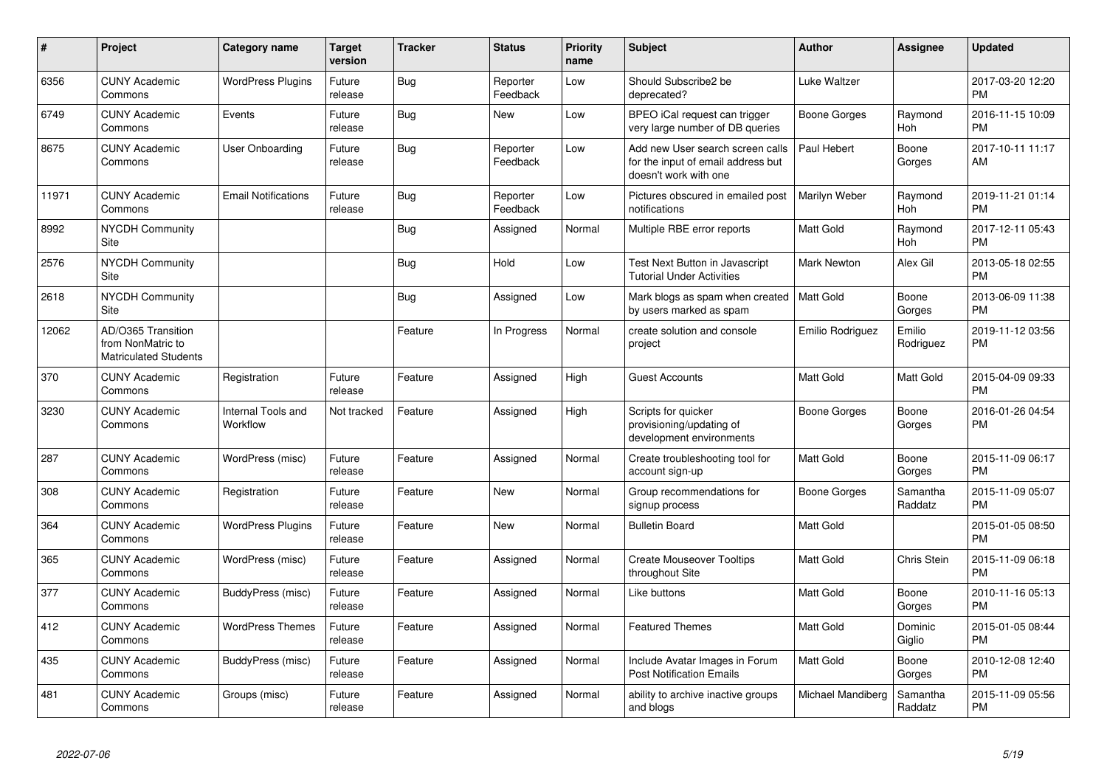| #     | Project                                                                 | <b>Category name</b>           | <b>Target</b><br>version | <b>Tracker</b> | <b>Status</b>        | <b>Priority</b><br>name | <b>Subject</b>                                                                                  | <b>Author</b>        | <b>Assignee</b>     | <b>Updated</b>                |
|-------|-------------------------------------------------------------------------|--------------------------------|--------------------------|----------------|----------------------|-------------------------|-------------------------------------------------------------------------------------------------|----------------------|---------------------|-------------------------------|
| 6356  | <b>CUNY Academic</b><br>Commons                                         | <b>WordPress Plugins</b>       | Future<br>release        | Bug            | Reporter<br>Feedback | Low                     | Should Subscribe2 be<br>deprecated?                                                             | <b>Luke Waltzer</b>  |                     | 2017-03-20 12:20<br><b>PM</b> |
| 6749  | <b>CUNY Academic</b><br>Commons                                         | Events                         | Future<br>release        | Bug            | <b>New</b>           | Low                     | BPEO iCal request can trigger<br>very large number of DB queries                                | Boone Gorges         | Raymond<br>Hoh      | 2016-11-15 10:09<br><b>PM</b> |
| 8675  | <b>CUNY Academic</b><br>Commons                                         | User Onboarding                | Future<br>release        | Bug            | Reporter<br>Feedback | Low                     | Add new User search screen calls<br>for the input of email address but<br>doesn't work with one | Paul Hebert          | Boone<br>Gorges     | 2017-10-11 11:17<br>AM        |
| 11971 | <b>CUNY Academic</b><br>Commons                                         | <b>Email Notifications</b>     | Future<br>release        | Bug            | Reporter<br>Feedback | Low                     | Pictures obscured in emailed post<br>notifications                                              | <b>Marilyn Weber</b> | Raymond<br>Hoh      | 2019-11-21 01:14<br><b>PM</b> |
| 8992  | <b>NYCDH Community</b><br>Site                                          |                                |                          | Bug            | Assigned             | Normal                  | Multiple RBE error reports                                                                      | <b>Matt Gold</b>     | Raymond<br>Hoh      | 2017-12-11 05:43<br><b>PM</b> |
| 2576  | <b>NYCDH Community</b><br>Site                                          |                                |                          | Bug            | Hold                 | Low                     | Test Next Button in Javascript<br><b>Tutorial Under Activities</b>                              | <b>Mark Newton</b>   | Alex Gil            | 2013-05-18 02:55<br><b>PM</b> |
| 2618  | <b>NYCDH Community</b><br>Site                                          |                                |                          | Bug            | Assigned             | Low                     | Mark blogs as spam when created<br>by users marked as spam                                      | <b>Matt Gold</b>     | Boone<br>Gorges     | 2013-06-09 11:38<br><b>PM</b> |
| 12062 | AD/O365 Transition<br>from NonMatric to<br><b>Matriculated Students</b> |                                |                          | Feature        | In Progress          | Normal                  | create solution and console<br>project                                                          | Emilio Rodriguez     | Emilio<br>Rodriguez | 2019-11-12 03:56<br><b>PM</b> |
| 370   | <b>CUNY Academic</b><br>Commons                                         | Registration                   | Future<br>release        | Feature        | Assigned             | High                    | <b>Guest Accounts</b>                                                                           | <b>Matt Gold</b>     | Matt Gold           | 2015-04-09 09:33<br><b>PM</b> |
| 3230  | <b>CUNY Academic</b><br>Commons                                         | Internal Tools and<br>Workflow | Not tracked              | Feature        | Assigned             | High                    | Scripts for quicker<br>provisioning/updating of<br>development environments                     | Boone Gorges         | Boone<br>Gorges     | 2016-01-26 04:54<br><b>PM</b> |
| 287   | <b>CUNY Academic</b><br>Commons                                         | WordPress (misc)               | Future<br>release        | Feature        | Assigned             | Normal                  | Create troubleshooting tool for<br>account sign-up                                              | <b>Matt Gold</b>     | Boone<br>Gorges     | 2015-11-09 06:17<br><b>PM</b> |
| 308   | <b>CUNY Academic</b><br>Commons                                         | Registration                   | Future<br>release        | Feature        | New                  | Normal                  | Group recommendations for<br>signup process                                                     | Boone Gorges         | Samantha<br>Raddatz | 2015-11-09 05:07<br><b>PM</b> |
| 364   | <b>CUNY Academic</b><br>Commons                                         | <b>WordPress Plugins</b>       | Future<br>release        | Feature        | <b>New</b>           | Normal                  | <b>Bulletin Board</b>                                                                           | <b>Matt Gold</b>     |                     | 2015-01-05 08:50<br><b>PM</b> |
| 365   | <b>CUNY Academic</b><br>Commons                                         | WordPress (misc)               | Future<br>release        | Feature        | Assigned             | Normal                  | <b>Create Mouseover Tooltips</b><br>throughout Site                                             | <b>Matt Gold</b>     | Chris Stein         | 2015-11-09 06:18<br><b>PM</b> |
| 377   | <b>CUNY Academic</b><br>Commons                                         | BuddyPress (misc)              | Future<br>release        | Feature        | Assigned             | Normal                  | Like buttons                                                                                    | <b>Matt Gold</b>     | Boone<br>Gorges     | 2010-11-16 05:13<br><b>PM</b> |
| 412   | <b>CUNY Academic</b><br>Commons                                         | <b>WordPress Themes</b>        | Future<br>release        | Feature        | Assigned             | Normal                  | <b>Featured Themes</b>                                                                          | Matt Gold            | Dominic<br>Giglio   | 2015-01-05 08:44<br><b>PM</b> |
| 435   | <b>CUNY Academic</b><br>Commons                                         | BuddyPress (misc)              | Future<br>release        | Feature        | Assigned             | Normal                  | Include Avatar Images in Forum<br><b>Post Notification Emails</b>                               | <b>Matt Gold</b>     | Boone<br>Gorges     | 2010-12-08 12:40<br><b>PM</b> |
| 481   | <b>CUNY Academic</b><br>Commons                                         | Groups (misc)                  | Future<br>release        | Feature        | Assigned             | Normal                  | ability to archive inactive groups<br>and blogs                                                 | Michael Mandiberg    | Samantha<br>Raddatz | 2015-11-09 05:56<br><b>PM</b> |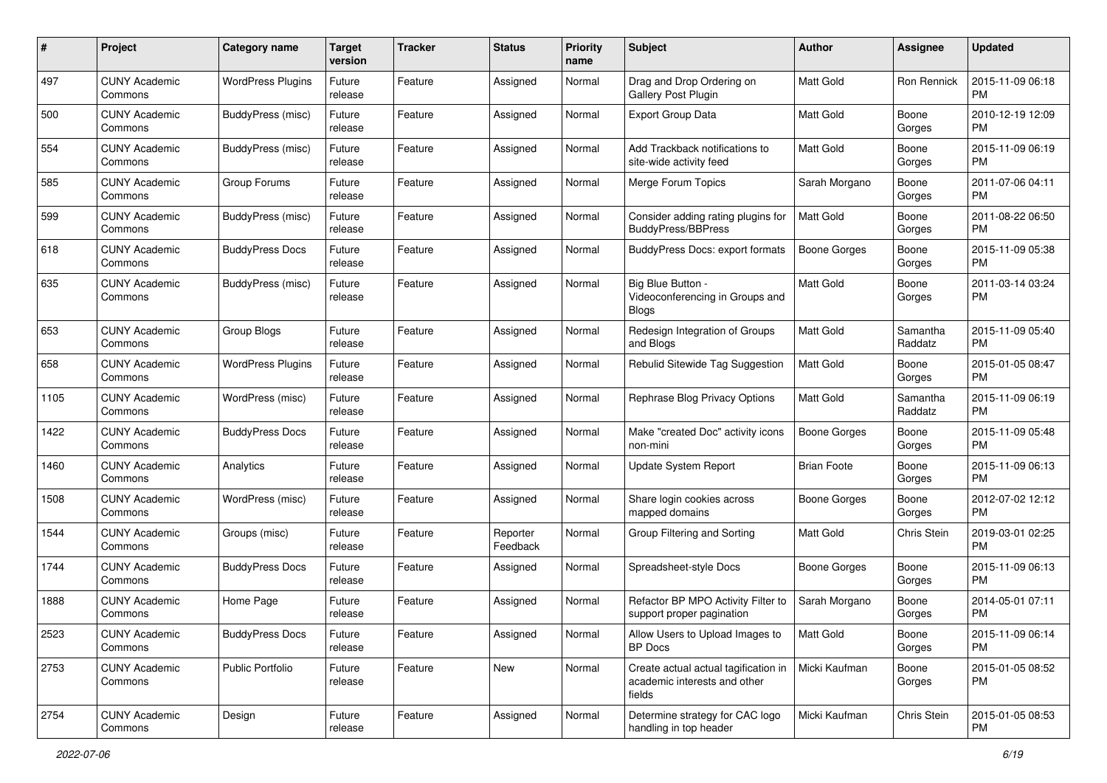| #    | Project                         | <b>Category name</b>     | <b>Target</b><br>version | Tracker | <b>Status</b>        | <b>Priority</b><br>name | <b>Subject</b>                                                                 | Author              | <b>Assignee</b>     | <b>Updated</b>                |
|------|---------------------------------|--------------------------|--------------------------|---------|----------------------|-------------------------|--------------------------------------------------------------------------------|---------------------|---------------------|-------------------------------|
| 497  | <b>CUNY Academic</b><br>Commons | <b>WordPress Plugins</b> | Future<br>release        | Feature | Assigned             | Normal                  | Drag and Drop Ordering on<br><b>Gallery Post Plugin</b>                        | <b>Matt Gold</b>    | Ron Rennick         | 2015-11-09 06:18<br><b>PM</b> |
| 500  | <b>CUNY Academic</b><br>Commons | BuddyPress (misc)        | Future<br>release        | Feature | Assigned             | Normal                  | <b>Export Group Data</b>                                                       | Matt Gold           | Boone<br>Gorges     | 2010-12-19 12:09<br><b>PM</b> |
| 554  | <b>CUNY Academic</b><br>Commons | <b>BuddyPress (misc)</b> | Future<br>release        | Feature | Assigned             | Normal                  | Add Trackback notifications to<br>site-wide activity feed                      | Matt Gold           | Boone<br>Gorges     | 2015-11-09 06:19<br><b>PM</b> |
| 585  | <b>CUNY Academic</b><br>Commons | Group Forums             | Future<br>release        | Feature | Assigned             | Normal                  | Merge Forum Topics                                                             | Sarah Morgano       | Boone<br>Gorges     | 2011-07-06 04:11<br><b>PM</b> |
| 599  | <b>CUNY Academic</b><br>Commons | BuddyPress (misc)        | Future<br>release        | Feature | Assigned             | Normal                  | Consider adding rating plugins for<br><b>BuddyPress/BBPress</b>                | <b>Matt Gold</b>    | Boone<br>Gorges     | 2011-08-22 06:50<br><b>PM</b> |
| 618  | <b>CUNY Academic</b><br>Commons | <b>BuddyPress Docs</b>   | Future<br>release        | Feature | Assigned             | Normal                  | <b>BuddyPress Docs: export formats</b>                                         | <b>Boone Gorges</b> | Boone<br>Gorges     | 2015-11-09 05:38<br><b>PM</b> |
| 635  | <b>CUNY Academic</b><br>Commons | BuddyPress (misc)        | Future<br>release        | Feature | Assigned             | Normal                  | Big Blue Button -<br>Videoconferencing in Groups and<br><b>Blogs</b>           | <b>Matt Gold</b>    | Boone<br>Gorges     | 2011-03-14 03:24<br><b>PM</b> |
| 653  | <b>CUNY Academic</b><br>Commons | Group Blogs              | Future<br>release        | Feature | Assigned             | Normal                  | Redesign Integration of Groups<br>and Blogs                                    | Matt Gold           | Samantha<br>Raddatz | 2015-11-09 05:40<br><b>PM</b> |
| 658  | <b>CUNY Academic</b><br>Commons | <b>WordPress Plugins</b> | Future<br>release        | Feature | Assigned             | Normal                  | Rebulid Sitewide Tag Suggestion                                                | <b>Matt Gold</b>    | Boone<br>Gorges     | 2015-01-05 08:47<br><b>PM</b> |
| 1105 | <b>CUNY Academic</b><br>Commons | WordPress (misc)         | Future<br>release        | Feature | Assigned             | Normal                  | Rephrase Blog Privacy Options                                                  | <b>Matt Gold</b>    | Samantha<br>Raddatz | 2015-11-09 06:19<br><b>PM</b> |
| 1422 | <b>CUNY Academic</b><br>Commons | <b>BuddyPress Docs</b>   | Future<br>release        | Feature | Assigned             | Normal                  | Make "created Doc" activity icons<br>non-mini                                  | <b>Boone Gorges</b> | Boone<br>Gorges     | 2015-11-09 05:48<br><b>PM</b> |
| 1460 | CUNY Academic<br>Commons        | Analytics                | Future<br>release        | Feature | Assigned             | Normal                  | Update System Report                                                           | <b>Brian Foote</b>  | Boone<br>Gorges     | 2015-11-09 06:13<br><b>PM</b> |
| 1508 | <b>CUNY Academic</b><br>Commons | WordPress (misc)         | Future<br>release        | Feature | Assigned             | Normal                  | Share login cookies across<br>mapped domains                                   | Boone Gorges        | Boone<br>Gorges     | 2012-07-02 12:12<br><b>PM</b> |
| 1544 | <b>CUNY Academic</b><br>Commons | Groups (misc)            | Future<br>release        | Feature | Reporter<br>Feedback | Normal                  | Group Filtering and Sorting                                                    | Matt Gold           | Chris Stein         | 2019-03-01 02:25<br><b>PM</b> |
| 1744 | <b>CUNY Academic</b><br>Commons | <b>BuddyPress Docs</b>   | Future<br>release        | Feature | Assigned             | Normal                  | Spreadsheet-style Docs                                                         | Boone Gorges        | Boone<br>Gorges     | 2015-11-09 06:13<br><b>PM</b> |
| 1888 | <b>CUNY Academic</b><br>Commons | Home Page                | Future<br>release        | Feature | Assigned             | Normal                  | Refactor BP MPO Activity Filter to<br>support proper pagination                | Sarah Morgano       | Boone<br>Gorges     | 2014-05-01 07:11<br><b>PM</b> |
| 2523 | <b>CUNY Academic</b><br>Commons | <b>BuddyPress Docs</b>   | Future<br>release        | Feature | Assigned             | Normal                  | Allow Users to Upload Images to<br>BP Docs                                     | Matt Gold           | Boone<br>Gorges     | 2015-11-09 06:14<br>PM        |
| 2753 | <b>CUNY Academic</b><br>Commons | Public Portfolio         | Future<br>release        | Feature | New                  | Normal                  | Create actual actual tagification in<br>academic interests and other<br>fields | Micki Kaufman       | Boone<br>Gorges     | 2015-01-05 08:52<br>PM        |
| 2754 | <b>CUNY Academic</b><br>Commons | Design                   | Future<br>release        | Feature | Assigned             | Normal                  | Determine strategy for CAC logo<br>handling in top header                      | Micki Kaufman       | Chris Stein         | 2015-01-05 08:53<br>PM        |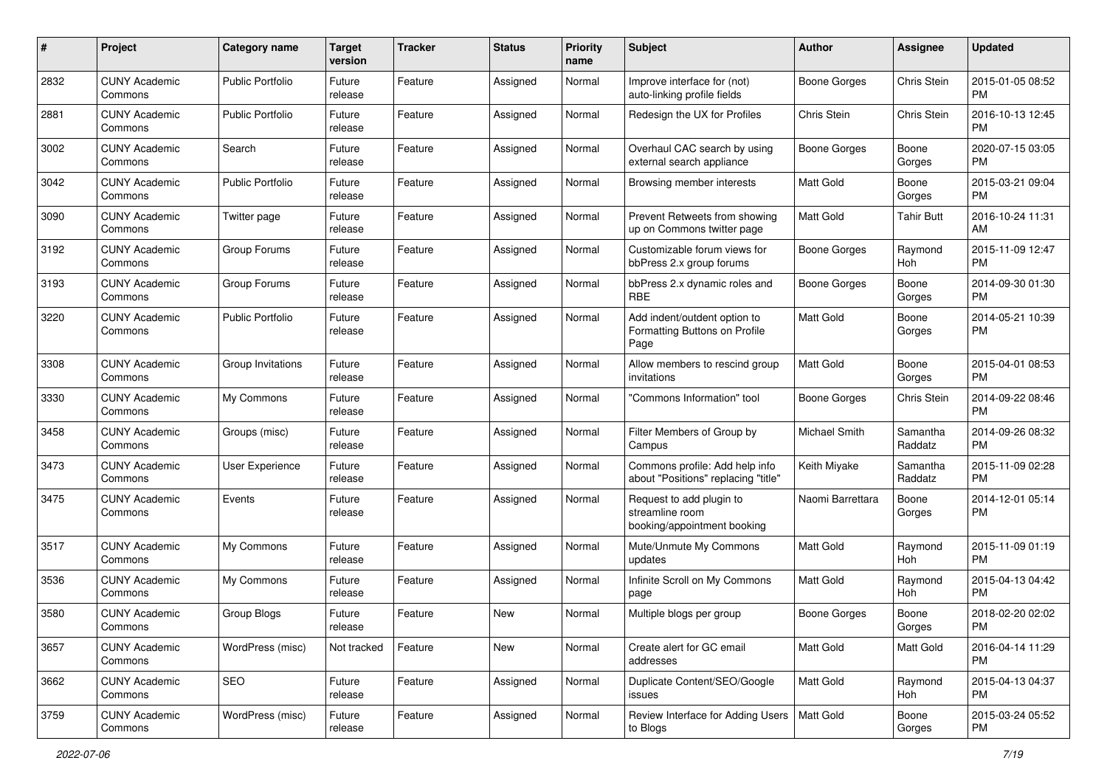| #    | Project                         | <b>Category name</b>    | <b>Target</b><br>version | <b>Tracker</b> | <b>Status</b> | Priority<br>name | Subject                                                                    | Author              | <b>Assignee</b>     | <b>Updated</b>                |
|------|---------------------------------|-------------------------|--------------------------|----------------|---------------|------------------|----------------------------------------------------------------------------|---------------------|---------------------|-------------------------------|
| 2832 | <b>CUNY Academic</b><br>Commons | <b>Public Portfolio</b> | Future<br>release        | Feature        | Assigned      | Normal           | Improve interface for (not)<br>auto-linking profile fields                 | <b>Boone Gorges</b> | Chris Stein         | 2015-01-05 08:52<br><b>PM</b> |
| 2881 | <b>CUNY Academic</b><br>Commons | <b>Public Portfolio</b> | Future<br>release        | Feature        | Assigned      | Normal           | Redesign the UX for Profiles                                               | Chris Stein         | Chris Stein         | 2016-10-13 12:45<br><b>PM</b> |
| 3002 | <b>CUNY Academic</b><br>Commons | Search                  | Future<br>release        | Feature        | Assigned      | Normal           | Overhaul CAC search by using<br>external search appliance                  | Boone Gorges        | Boone<br>Gorges     | 2020-07-15 03:05<br><b>PM</b> |
| 3042 | <b>CUNY Academic</b><br>Commons | <b>Public Portfolio</b> | Future<br>release        | Feature        | Assigned      | Normal           | Browsing member interests                                                  | <b>Matt Gold</b>    | Boone<br>Gorges     | 2015-03-21 09:04<br>PM.       |
| 3090 | <b>CUNY Academic</b><br>Commons | Twitter page            | Future<br>release        | Feature        | Assigned      | Normal           | Prevent Retweets from showing<br>up on Commons twitter page                | Matt Gold           | Tahir Butt          | 2016-10-24 11:31<br>AM        |
| 3192 | <b>CUNY Academic</b><br>Commons | Group Forums            | Future<br>release        | Feature        | Assigned      | Normal           | Customizable forum views for<br>bbPress 2.x group forums                   | Boone Gorges        | Raymond<br>Hoh      | 2015-11-09 12:47<br><b>PM</b> |
| 3193 | <b>CUNY Academic</b><br>Commons | Group Forums            | Future<br>release        | Feature        | Assigned      | Normal           | bbPress 2.x dynamic roles and<br><b>RBE</b>                                | <b>Boone Gorges</b> | Boone<br>Gorges     | 2014-09-30 01:30<br>PM.       |
| 3220 | <b>CUNY Academic</b><br>Commons | <b>Public Portfolio</b> | Future<br>release        | Feature        | Assigned      | Normal           | Add indent/outdent option to<br>Formatting Buttons on Profile<br>Page      | <b>Matt Gold</b>    | Boone<br>Gorges     | 2014-05-21 10:39<br>PM.       |
| 3308 | <b>CUNY Academic</b><br>Commons | Group Invitations       | Future<br>release        | Feature        | Assigned      | Normal           | Allow members to rescind group<br>invitations                              | <b>Matt Gold</b>    | Boone<br>Gorges     | 2015-04-01 08:53<br>PM.       |
| 3330 | <b>CUNY Academic</b><br>Commons | My Commons              | Future<br>release        | Feature        | Assigned      | Normal           | 'Commons Information" tool                                                 | <b>Boone Gorges</b> | Chris Stein         | 2014-09-22 08:46<br><b>PM</b> |
| 3458 | <b>CUNY Academic</b><br>Commons | Groups (misc)           | Future<br>release        | Feature        | Assigned      | Normal           | Filter Members of Group by<br>Campus                                       | Michael Smith       | Samantha<br>Raddatz | 2014-09-26 08:32<br><b>PM</b> |
| 3473 | <b>CUNY Academic</b><br>Commons | User Experience         | Future<br>release        | Feature        | Assigned      | Normal           | Commons profile: Add help info<br>about "Positions" replacing "title"      | Keith Miyake        | Samantha<br>Raddatz | 2015-11-09 02:28<br><b>PM</b> |
| 3475 | <b>CUNY Academic</b><br>Commons | Events                  | Future<br>release        | Feature        | Assigned      | Normal           | Request to add plugin to<br>streamline room<br>booking/appointment booking | Naomi Barrettara    | Boone<br>Gorges     | 2014-12-01 05:14<br><b>PM</b> |
| 3517 | <b>CUNY Academic</b><br>Commons | My Commons              | Future<br>release        | Feature        | Assigned      | Normal           | Mute/Unmute My Commons<br>updates                                          | <b>Matt Gold</b>    | Raymond<br>Hoh      | 2015-11-09 01:19<br><b>PM</b> |
| 3536 | <b>CUNY Academic</b><br>Commons | My Commons              | Future<br>release        | Feature        | Assigned      | Normal           | Infinite Scroll on My Commons<br>page                                      | Matt Gold           | Raymond<br>Hoh      | 2015-04-13 04:42<br><b>PM</b> |
| 3580 | <b>CUNY Academic</b><br>Commons | Group Blogs             | Future<br>release        | Feature        | New           | Normal           | Multiple blogs per group                                                   | Boone Gorges        | Boone<br>Gorges     | 2018-02-20 02:02<br>PM        |
| 3657 | <b>CUNY Academic</b><br>Commons | WordPress (misc)        | Not tracked              | Feature        | New           | Normal           | Create alert for GC email<br>addresses                                     | Matt Gold           | Matt Gold           | 2016-04-14 11:29<br><b>PM</b> |
| 3662 | <b>CUNY Academic</b><br>Commons | SEO                     | Future<br>release        | Feature        | Assigned      | Normal           | Duplicate Content/SEO/Google<br>issues                                     | Matt Gold           | Raymond<br>Hoh      | 2015-04-13 04:37<br><b>PM</b> |
| 3759 | <b>CUNY Academic</b><br>Commons | WordPress (misc)        | Future<br>release        | Feature        | Assigned      | Normal           | Review Interface for Adding Users<br>to Blogs                              | Matt Gold           | Boone<br>Gorges     | 2015-03-24 05:52<br><b>PM</b> |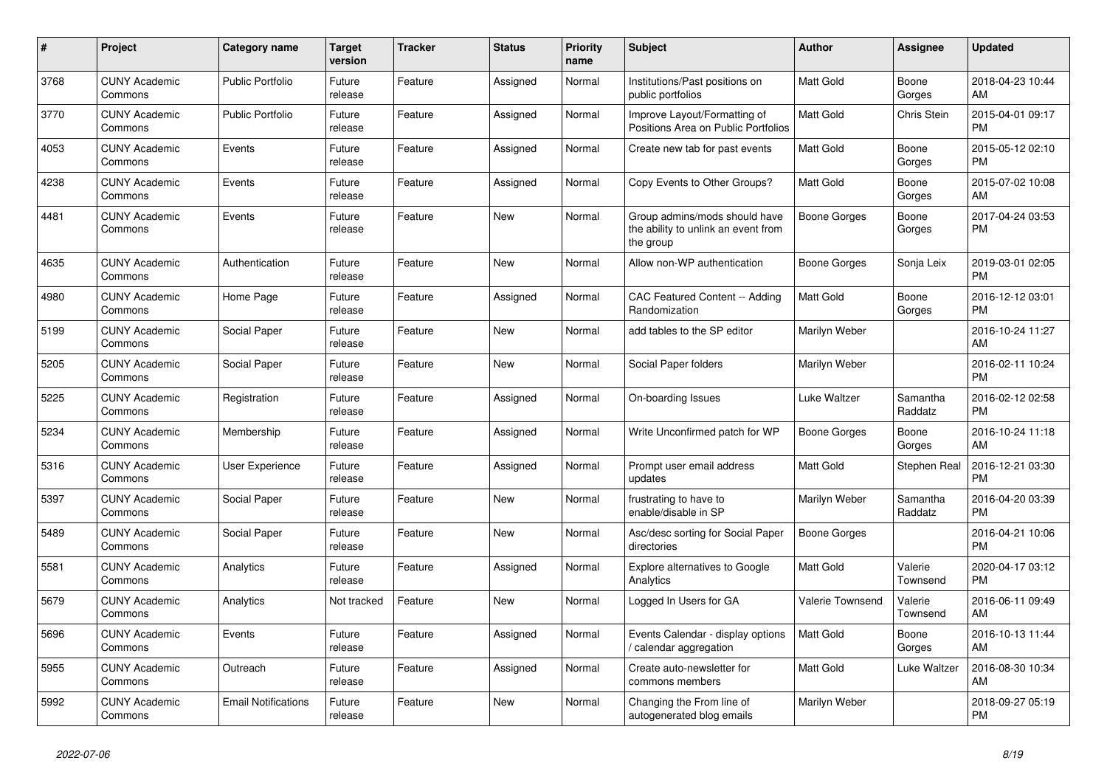| #    | <b>Project</b>                  | <b>Category name</b>       | <b>Target</b><br>version | <b>Tracker</b> | <b>Status</b> | Priority<br>name | <b>Subject</b>                                                                    | <b>Author</b>       | Assignee            | <b>Updated</b>                |
|------|---------------------------------|----------------------------|--------------------------|----------------|---------------|------------------|-----------------------------------------------------------------------------------|---------------------|---------------------|-------------------------------|
| 3768 | <b>CUNY Academic</b><br>Commons | <b>Public Portfolio</b>    | Future<br>release        | Feature        | Assigned      | Normal           | Institutions/Past positions on<br>public portfolios                               | <b>Matt Gold</b>    | Boone<br>Gorges     | 2018-04-23 10:44<br>AM        |
| 3770 | <b>CUNY Academic</b><br>Commons | <b>Public Portfolio</b>    | Future<br>release        | Feature        | Assigned      | Normal           | Improve Layout/Formatting of<br>Positions Area on Public Portfolios               | <b>Matt Gold</b>    | Chris Stein         | 2015-04-01 09:17<br><b>PM</b> |
| 4053 | <b>CUNY Academic</b><br>Commons | Events                     | Future<br>release        | Feature        | Assigned      | Normal           | Create new tab for past events                                                    | Matt Gold           | Boone<br>Gorges     | 2015-05-12 02:10<br><b>PM</b> |
| 4238 | <b>CUNY Academic</b><br>Commons | Events                     | Future<br>release        | Feature        | Assigned      | Normal           | Copy Events to Other Groups?                                                      | <b>Matt Gold</b>    | Boone<br>Gorges     | 2015-07-02 10:08<br>AM        |
| 4481 | <b>CUNY Academic</b><br>Commons | Events                     | Future<br>release        | Feature        | New           | Normal           | Group admins/mods should have<br>the ability to unlink an event from<br>the group | <b>Boone Gorges</b> | Boone<br>Gorges     | 2017-04-24 03:53<br><b>PM</b> |
| 4635 | <b>CUNY Academic</b><br>Commons | Authentication             | Future<br>release        | Feature        | <b>New</b>    | Normal           | Allow non-WP authentication                                                       | Boone Gorges        | Sonja Leix          | 2019-03-01 02:05<br><b>PM</b> |
| 4980 | <b>CUNY Academic</b><br>Commons | Home Page                  | Future<br>release        | Feature        | Assigned      | Normal           | <b>CAC Featured Content -- Adding</b><br>Randomization                            | <b>Matt Gold</b>    | Boone<br>Gorges     | 2016-12-12 03:01<br><b>PM</b> |
| 5199 | <b>CUNY Academic</b><br>Commons | Social Paper               | Future<br>release        | Feature        | New           | Normal           | add tables to the SP editor                                                       | Marilyn Weber       |                     | 2016-10-24 11:27<br>AM        |
| 5205 | <b>CUNY Academic</b><br>Commons | Social Paper               | Future<br>release        | Feature        | New           | Normal           | Social Paper folders                                                              | Marilyn Weber       |                     | 2016-02-11 10:24<br><b>PM</b> |
| 5225 | <b>CUNY Academic</b><br>Commons | Registration               | Future<br>release        | Feature        | Assigned      | Normal           | On-boarding Issues                                                                | Luke Waltzer        | Samantha<br>Raddatz | 2016-02-12 02:58<br><b>PM</b> |
| 5234 | <b>CUNY Academic</b><br>Commons | Membership                 | Future<br>release        | Feature        | Assigned      | Normal           | Write Unconfirmed patch for WP                                                    | Boone Gorges        | Boone<br>Gorges     | 2016-10-24 11:18<br>AM        |
| 5316 | <b>CUNY Academic</b><br>Commons | User Experience            | Future<br>release        | Feature        | Assigned      | Normal           | Prompt user email address<br>updates                                              | <b>Matt Gold</b>    | Stephen Real        | 2016-12-21 03:30<br><b>PM</b> |
| 5397 | <b>CUNY Academic</b><br>Commons | Social Paper               | Future<br>release        | Feature        | New           | Normal           | frustrating to have to<br>enable/disable in SP                                    | Marilyn Weber       | Samantha<br>Raddatz | 2016-04-20 03:39<br><b>PM</b> |
| 5489 | <b>CUNY Academic</b><br>Commons | Social Paper               | Future<br>release        | Feature        | <b>New</b>    | Normal           | Asc/desc sorting for Social Paper<br>directories                                  | <b>Boone Gorges</b> |                     | 2016-04-21 10:06<br><b>PM</b> |
| 5581 | <b>CUNY Academic</b><br>Commons | Analytics                  | Future<br>release        | Feature        | Assigned      | Normal           | <b>Explore alternatives to Google</b><br>Analytics                                | <b>Matt Gold</b>    | Valerie<br>Townsend | 2020-04-17 03:12<br><b>PM</b> |
| 5679 | <b>CUNY Academic</b><br>Commons | Analytics                  | Not tracked              | Feature        | New           | Normal           | Logged In Users for GA                                                            | Valerie Townsend    | Valerie<br>Townsend | 2016-06-11 09:49<br>AM        |
| 5696 | <b>CUNY Academic</b><br>Commons | Events                     | Future<br>release        | Feature        | Assigned      | Normal           | Events Calendar - display options<br>calendar aggregation                         | <b>Matt Gold</b>    | Boone<br>Gorges     | 2016-10-13 11:44<br>AM        |
| 5955 | <b>CUNY Academic</b><br>Commons | Outreach                   | Future<br>release        | Feature        | Assigned      | Normal           | Create auto-newsletter for<br>commons members                                     | <b>Matt Gold</b>    | Luke Waltzer        | 2016-08-30 10:34<br>AM        |
| 5992 | <b>CUNY Academic</b><br>Commons | <b>Email Notifications</b> | Future<br>release        | Feature        | <b>New</b>    | Normal           | Changing the From line of<br>autogenerated blog emails                            | Marilyn Weber       |                     | 2018-09-27 05:19<br><b>PM</b> |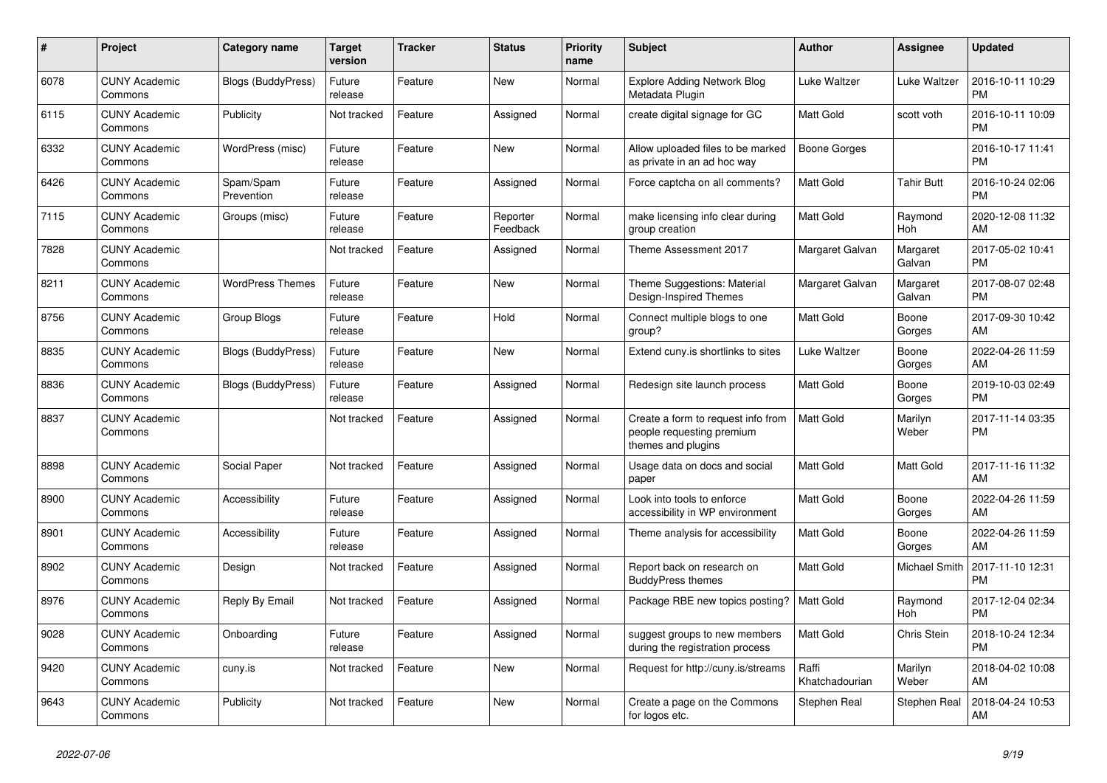| $\pmb{\#}$ | <b>Project</b>                  | <b>Category name</b>      | <b>Target</b><br>version | <b>Tracker</b> | <b>Status</b>        | <b>Priority</b><br>name | <b>Subject</b>                                                                        | <b>Author</b>           | Assignee             | <b>Updated</b>                |
|------------|---------------------------------|---------------------------|--------------------------|----------------|----------------------|-------------------------|---------------------------------------------------------------------------------------|-------------------------|----------------------|-------------------------------|
| 6078       | <b>CUNY Academic</b><br>Commons | <b>Blogs (BuddyPress)</b> | Future<br>release        | Feature        | New                  | Normal                  | <b>Explore Adding Network Blog</b><br>Metadata Plugin                                 | Luke Waltzer            | Luke Waltzer         | 2016-10-11 10:29<br><b>PM</b> |
| 6115       | <b>CUNY Academic</b><br>Commons | Publicity                 | Not tracked              | Feature        | Assigned             | Normal                  | create digital signage for GC                                                         | Matt Gold               | scott voth           | 2016-10-11 10:09<br><b>PM</b> |
| 6332       | <b>CUNY Academic</b><br>Commons | WordPress (misc)          | Future<br>release        | Feature        | New                  | Normal                  | Allow uploaded files to be marked<br>as private in an ad hoc way                      | Boone Gorges            |                      | 2016-10-17 11:41<br><b>PM</b> |
| 6426       | <b>CUNY Academic</b><br>Commons | Spam/Spam<br>Prevention   | Future<br>release        | Feature        | Assigned             | Normal                  | Force captcha on all comments?                                                        | <b>Matt Gold</b>        | <b>Tahir Butt</b>    | 2016-10-24 02:06<br><b>PM</b> |
| 7115       | <b>CUNY Academic</b><br>Commons | Groups (misc)             | Future<br>release        | Feature        | Reporter<br>Feedback | Normal                  | make licensing info clear during<br>group creation                                    | Matt Gold               | Raymond<br>Hoh       | 2020-12-08 11:32<br>AM        |
| 7828       | <b>CUNY Academic</b><br>Commons |                           | Not tracked              | Feature        | Assigned             | Normal                  | Theme Assessment 2017                                                                 | Margaret Galvan         | Margaret<br>Galvan   | 2017-05-02 10:41<br><b>PM</b> |
| 8211       | <b>CUNY Academic</b><br>Commons | <b>WordPress Themes</b>   | Future<br>release        | Feature        | <b>New</b>           | Normal                  | Theme Suggestions: Material<br>Design-Inspired Themes                                 | Margaret Galvan         | Margaret<br>Galvan   | 2017-08-07 02:48<br><b>PM</b> |
| 8756       | <b>CUNY Academic</b><br>Commons | Group Blogs               | Future<br>release        | Feature        | Hold                 | Normal                  | Connect multiple blogs to one<br>group?                                               | <b>Matt Gold</b>        | Boone<br>Gorges      | 2017-09-30 10:42<br>AM        |
| 8835       | <b>CUNY Academic</b><br>Commons | <b>Blogs (BuddyPress)</b> | Future<br>release        | Feature        | <b>New</b>           | Normal                  | Extend cuny is shortlinks to sites                                                    | Luke Waltzer            | Boone<br>Gorges      | 2022-04-26 11:59<br>AM        |
| 8836       | <b>CUNY Academic</b><br>Commons | Blogs (BuddyPress)        | Future<br>release        | Feature        | Assigned             | Normal                  | Redesign site launch process                                                          | Matt Gold               | Boone<br>Gorges      | 2019-10-03 02:49<br><b>PM</b> |
| 8837       | <b>CUNY Academic</b><br>Commons |                           | Not tracked              | Feature        | Assigned             | Normal                  | Create a form to request info from<br>people requesting premium<br>themes and plugins | <b>Matt Gold</b>        | Marilyn<br>Weber     | 2017-11-14 03:35<br><b>PM</b> |
| 8898       | <b>CUNY Academic</b><br>Commons | Social Paper              | Not tracked              | Feature        | Assigned             | Normal                  | Usage data on docs and social<br>paper                                                | <b>Matt Gold</b>        | Matt Gold            | 2017-11-16 11:32<br>AM        |
| 8900       | <b>CUNY Academic</b><br>Commons | Accessibility             | Future<br>release        | Feature        | Assigned             | Normal                  | Look into tools to enforce<br>accessibility in WP environment                         | Matt Gold               | Boone<br>Gorges      | 2022-04-26 11:59<br>AM        |
| 8901       | <b>CUNY Academic</b><br>Commons | Accessibility             | Future<br>release        | Feature        | Assigned             | Normal                  | Theme analysis for accessibility                                                      | Matt Gold               | Boone<br>Gorges      | 2022-04-26 11:59<br>AM        |
| 8902       | <b>CUNY Academic</b><br>Commons | Design                    | Not tracked              | Feature        | Assigned             | Normal                  | Report back on research on<br><b>BuddyPress themes</b>                                | Matt Gold               | <b>Michael Smith</b> | 2017-11-10 12:31<br><b>PM</b> |
| 8976       | <b>CUNY Academic</b><br>Commons | Reply By Email            | Not tracked              | Feature        | Assigned             | Normal                  | Package RBE new topics posting?                                                       | <b>Matt Gold</b>        | Raymond<br>Hoh       | 2017-12-04 02:34<br><b>PM</b> |
| 9028       | <b>CUNY Academic</b><br>Commons | Onboarding                | Future<br>release        | Feature        | Assigned             | Normal                  | suggest groups to new members<br>during the registration process                      | <b>Matt Gold</b>        | Chris Stein          | 2018-10-24 12:34<br><b>PM</b> |
| 9420       | <b>CUNY Academic</b><br>Commons | cuny.is                   | Not tracked              | Feature        | New                  | Normal                  | Request for http://cuny.is/streams                                                    | Raffi<br>Khatchadourian | Marilyn<br>Weber     | 2018-04-02 10:08<br>AM        |
| 9643       | <b>CUNY Academic</b><br>Commons | Publicity                 | Not tracked              | Feature        | New                  | Normal                  | Create a page on the Commons<br>for logos etc.                                        | Stephen Real            | Stephen Real         | 2018-04-24 10:53<br>AM        |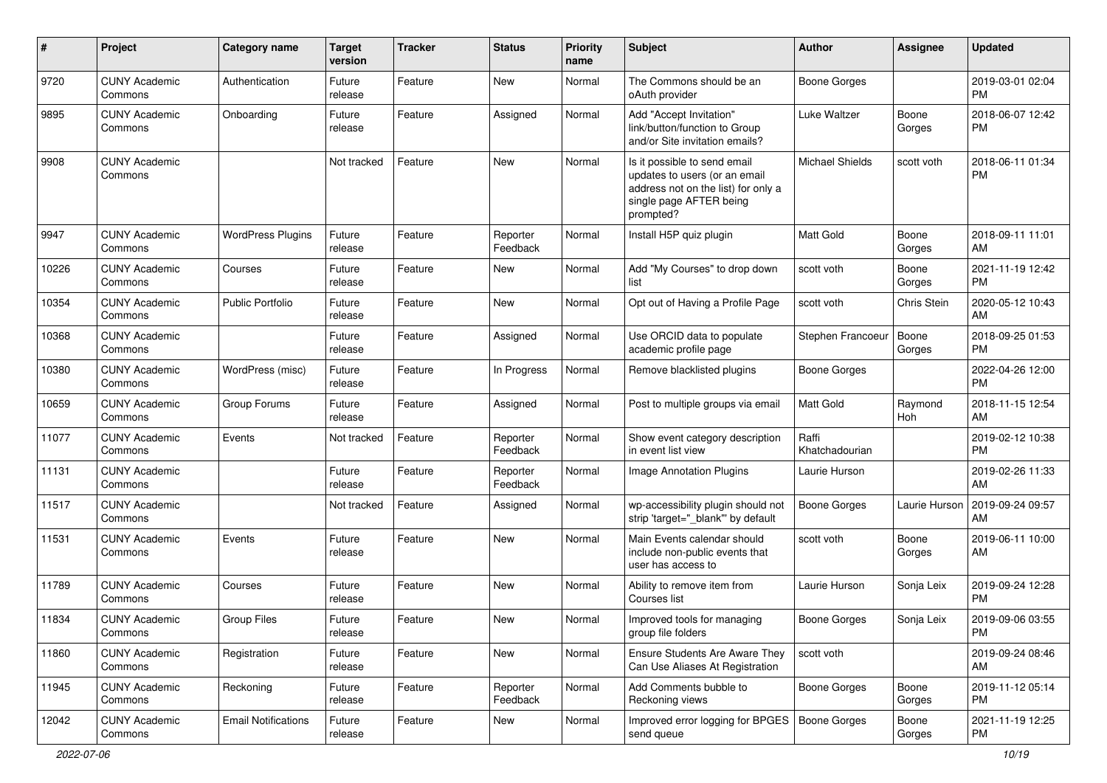| #     | Project                         | <b>Category name</b>       | <b>Target</b><br>version | <b>Tracker</b> | <b>Status</b>        | <b>Priority</b><br>name | <b>Subject</b>                                                                                                                               | <b>Author</b>           | <b>Assignee</b> | <b>Updated</b>                |
|-------|---------------------------------|----------------------------|--------------------------|----------------|----------------------|-------------------------|----------------------------------------------------------------------------------------------------------------------------------------------|-------------------------|-----------------|-------------------------------|
| 9720  | <b>CUNY Academic</b><br>Commons | Authentication             | Future<br>release        | Feature        | <b>New</b>           | Normal                  | The Commons should be an<br>oAuth provider                                                                                                   | <b>Boone Gorges</b>     |                 | 2019-03-01 02:04<br><b>PM</b> |
| 9895  | <b>CUNY Academic</b><br>Commons | Onboarding                 | Future<br>release        | Feature        | Assigned             | Normal                  | Add "Accept Invitation"<br>link/button/function to Group<br>and/or Site invitation emails?                                                   | Luke Waltzer            | Boone<br>Gorges | 2018-06-07 12:42<br><b>PM</b> |
| 9908  | <b>CUNY Academic</b><br>Commons |                            | Not tracked              | Feature        | <b>New</b>           | Normal                  | Is it possible to send email<br>updates to users (or an email<br>address not on the list) for only a<br>single page AFTER being<br>prompted? | <b>Michael Shields</b>  | scott voth      | 2018-06-11 01:34<br><b>PM</b> |
| 9947  | <b>CUNY Academic</b><br>Commons | <b>WordPress Plugins</b>   | Future<br>release        | Feature        | Reporter<br>Feedback | Normal                  | Install H5P quiz plugin                                                                                                                      | Matt Gold               | Boone<br>Gorges | 2018-09-11 11:01<br>AM        |
| 10226 | <b>CUNY Academic</b><br>Commons | Courses                    | Future<br>release        | Feature        | New                  | Normal                  | Add "My Courses" to drop down<br>list                                                                                                        | scott voth              | Boone<br>Gorges | 2021-11-19 12:42<br><b>PM</b> |
| 10354 | <b>CUNY Academic</b><br>Commons | Public Portfolio           | Future<br>release        | Feature        | <b>New</b>           | Normal                  | Opt out of Having a Profile Page                                                                                                             | scott voth              | Chris Stein     | 2020-05-12 10:43<br>AM        |
| 10368 | <b>CUNY Academic</b><br>Commons |                            | Future<br>release        | Feature        | Assigned             | Normal                  | Use ORCID data to populate<br>academic profile page                                                                                          | Stephen Francoeur       | Boone<br>Gorges | 2018-09-25 01:53<br><b>PM</b> |
| 10380 | <b>CUNY Academic</b><br>Commons | WordPress (misc)           | Future<br>release        | Feature        | In Progress          | Normal                  | Remove blacklisted plugins                                                                                                                   | <b>Boone Gorges</b>     |                 | 2022-04-26 12:00<br><b>PM</b> |
| 10659 | <b>CUNY Academic</b><br>Commons | Group Forums               | Future<br>release        | Feature        | Assigned             | Normal                  | Post to multiple groups via email                                                                                                            | <b>Matt Gold</b>        | Raymond<br>Hoh  | 2018-11-15 12:54<br>AM        |
| 11077 | <b>CUNY Academic</b><br>Commons | Events                     | Not tracked              | Feature        | Reporter<br>Feedback | Normal                  | Show event category description<br>in event list view                                                                                        | Raffi<br>Khatchadourian |                 | 2019-02-12 10:38<br><b>PM</b> |
| 11131 | <b>CUNY Academic</b><br>Commons |                            | Future<br>release        | Feature        | Reporter<br>Feedback | Normal                  | Image Annotation Plugins                                                                                                                     | Laurie Hurson           |                 | 2019-02-26 11:33<br>AM        |
| 11517 | <b>CUNY Academic</b><br>Commons |                            | Not tracked              | Feature        | Assigned             | Normal                  | wp-accessibility plugin should not<br>strip 'target=" blank" by default                                                                      | <b>Boone Gorges</b>     | Laurie Hurson   | 2019-09-24 09:57<br>AM        |
| 11531 | <b>CUNY Academic</b><br>Commons | Events                     | Future<br>release        | Feature        | <b>New</b>           | Normal                  | Main Events calendar should<br>include non-public events that<br>user has access to                                                          | scott voth              | Boone<br>Gorges | 2019-06-11 10:00<br>AM        |
| 11789 | <b>CUNY Academic</b><br>Commons | Courses                    | Future<br>release        | Feature        | <b>New</b>           | Normal                  | Ability to remove item from<br>Courses list                                                                                                  | Laurie Hurson           | Sonja Leix      | 2019-09-24 12:28<br><b>PM</b> |
| 11834 | <b>CUNY Academic</b><br>Commons | <b>Group Files</b>         | Future<br>release        | Feature        | <b>New</b>           | Normal                  | Improved tools for managing<br>group file folders                                                                                            | <b>Boone Gorges</b>     | Sonja Leix      | 2019-09-06 03:55<br>PM        |
| 11860 | <b>CUNY Academic</b><br>Commons | Registration               | Future<br>release        | Feature        | New                  | Normal                  | Ensure Students Are Aware They<br>Can Use Aliases At Registration                                                                            | scott voth              |                 | 2019-09-24 08:46<br>AM        |
| 11945 | <b>CUNY Academic</b><br>Commons | Reckoning                  | Future<br>release        | Feature        | Reporter<br>Feedback | Normal                  | Add Comments bubble to<br>Reckoning views                                                                                                    | <b>Boone Gorges</b>     | Boone<br>Gorges | 2019-11-12 05:14<br><b>PM</b> |
| 12042 | <b>CUNY Academic</b><br>Commons | <b>Email Notifications</b> | Future<br>release        | Feature        | New                  | Normal                  | Improved error logging for BPGES   Boone Gorges<br>send queue                                                                                |                         | Boone<br>Gorges | 2021-11-19 12:25<br>PM        |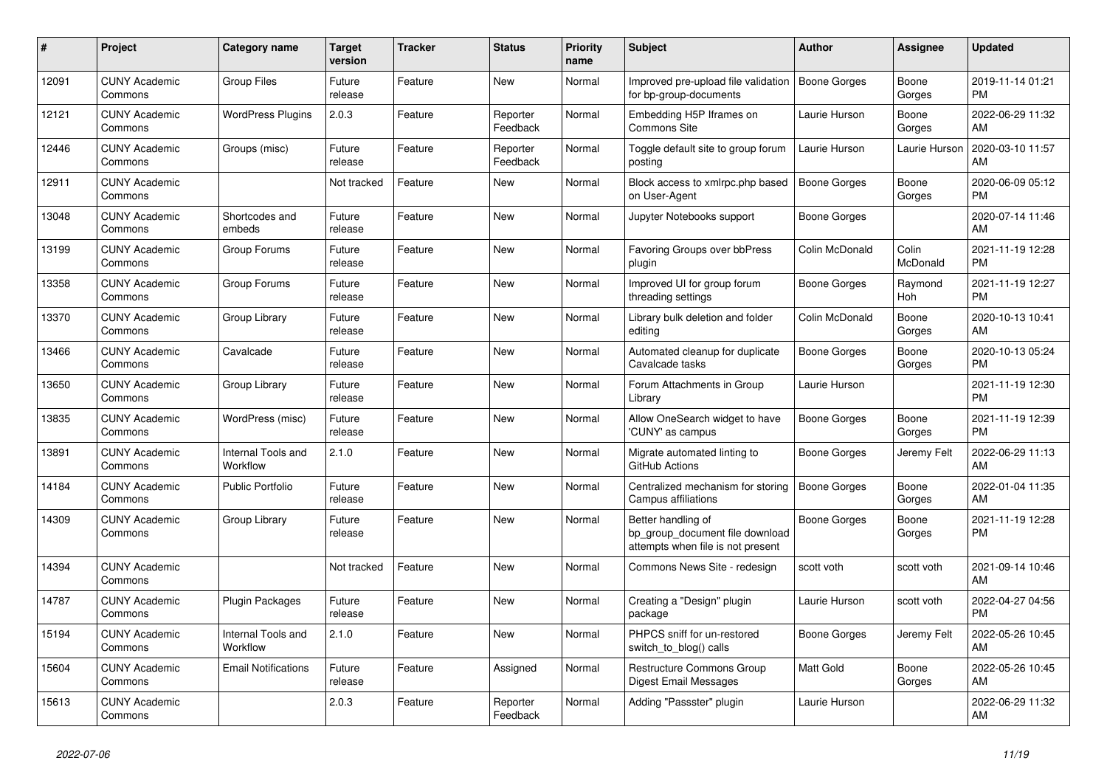| #     | <b>Project</b>                  | <b>Category name</b>           | <b>Target</b><br>version | <b>Tracker</b> | <b>Status</b>        | <b>Priority</b><br>name | <b>Subject</b>                                                                             | <b>Author</b>       | Assignee          | <b>Updated</b>                |
|-------|---------------------------------|--------------------------------|--------------------------|----------------|----------------------|-------------------------|--------------------------------------------------------------------------------------------|---------------------|-------------------|-------------------------------|
| 12091 | <b>CUNY Academic</b><br>Commons | <b>Group Files</b>             | Future<br>release        | Feature        | New                  | Normal                  | Improved pre-upload file validation<br>for bp-group-documents                              | Boone Gorges        | Boone<br>Gorges   | 2019-11-14 01:21<br><b>PM</b> |
| 12121 | <b>CUNY Academic</b><br>Commons | <b>WordPress Plugins</b>       | 2.0.3                    | Feature        | Reporter<br>Feedback | Normal                  | Embedding H5P Iframes on<br><b>Commons Site</b>                                            | Laurie Hurson       | Boone<br>Gorges   | 2022-06-29 11:32<br>AM        |
| 12446 | <b>CUNY Academic</b><br>Commons | Groups (misc)                  | Future<br>release        | Feature        | Reporter<br>Feedback | Normal                  | Toggle default site to group forum<br>posting                                              | Laurie Hurson       | Laurie Hurson     | 2020-03-10 11:57<br>AM        |
| 12911 | <b>CUNY Academic</b><br>Commons |                                | Not tracked              | Feature        | <b>New</b>           | Normal                  | Block access to xmlrpc.php based<br>on User-Agent                                          | Boone Gorges        | Boone<br>Gorges   | 2020-06-09 05:12<br><b>PM</b> |
| 13048 | <b>CUNY Academic</b><br>Commons | Shortcodes and<br>embeds       | Future<br>release        | Feature        | New                  | Normal                  | Jupyter Notebooks support                                                                  | Boone Gorges        |                   | 2020-07-14 11:46<br>AM        |
| 13199 | <b>CUNY Academic</b><br>Commons | Group Forums                   | Future<br>release        | Feature        | New                  | Normal                  | Favoring Groups over bbPress<br>plugin                                                     | Colin McDonald      | Colin<br>McDonald | 2021-11-19 12:28<br><b>PM</b> |
| 13358 | <b>CUNY Academic</b><br>Commons | Group Forums                   | Future<br>release        | Feature        | <b>New</b>           | Normal                  | Improved UI for group forum<br>threading settings                                          | Boone Gorges        | Raymond<br>Hoh    | 2021-11-19 12:27<br><b>PM</b> |
| 13370 | <b>CUNY Academic</b><br>Commons | Group Library                  | Future<br>release        | Feature        | <b>New</b>           | Normal                  | Library bulk deletion and folder<br>editing                                                | Colin McDonald      | Boone<br>Gorges   | 2020-10-13 10:41<br>AM        |
| 13466 | <b>CUNY Academic</b><br>Commons | Cavalcade                      | Future<br>release        | Feature        | New                  | Normal                  | Automated cleanup for duplicate<br>Cavalcade tasks                                         | Boone Gorges        | Boone<br>Gorges   | 2020-10-13 05:24<br><b>PM</b> |
| 13650 | <b>CUNY Academic</b><br>Commons | Group Library                  | Future<br>release        | Feature        | New                  | Normal                  | Forum Attachments in Group<br>Library                                                      | Laurie Hurson       |                   | 2021-11-19 12:30<br><b>PM</b> |
| 13835 | <b>CUNY Academic</b><br>Commons | WordPress (misc)               | Future<br>release        | Feature        | <b>New</b>           | Normal                  | Allow OneSearch widget to have<br>'CUNY' as campus                                         | Boone Gorges        | Boone<br>Gorges   | 2021-11-19 12:39<br><b>PM</b> |
| 13891 | <b>CUNY Academic</b><br>Commons | Internal Tools and<br>Workflow | 2.1.0                    | Feature        | <b>New</b>           | Normal                  | Migrate automated linting to<br>GitHub Actions                                             | <b>Boone Gorges</b> | Jeremy Felt       | 2022-06-29 11:13<br>AM        |
| 14184 | <b>CUNY Academic</b><br>Commons | <b>Public Portfolio</b>        | Future<br>release        | Feature        | New                  | Normal                  | Centralized mechanism for storing<br>Campus affiliations                                   | Boone Gorges        | Boone<br>Gorges   | 2022-01-04 11:35<br>AM        |
| 14309 | <b>CUNY Academic</b><br>Commons | Group Library                  | Future<br>release        | Feature        | New                  | Normal                  | Better handling of<br>bp_group_document file download<br>attempts when file is not present | Boone Gorges        | Boone<br>Gorges   | 2021-11-19 12:28<br><b>PM</b> |
| 14394 | <b>CUNY Academic</b><br>Commons |                                | Not tracked              | Feature        | New                  | Normal                  | Commons News Site - redesign                                                               | scott voth          | scott voth        | 2021-09-14 10:46<br>AM        |
| 14787 | <b>CUNY Academic</b><br>Commons | Plugin Packages                | Future<br>release        | Feature        | New                  | Normal                  | Creating a "Design" plugin<br>package                                                      | Laurie Hurson       | scott voth        | 2022-04-27 04:56<br><b>PM</b> |
| 15194 | <b>CUNY Academic</b><br>Commons | Internal Tools and<br>Workflow | 2.1.0                    | Feature        | <b>New</b>           | Normal                  | PHPCS sniff for un-restored<br>switch to blog() calls                                      | Boone Gorges        | Jeremy Felt       | 2022-05-26 10:45<br>AM        |
| 15604 | <b>CUNY Academic</b><br>Commons | <b>Email Notifications</b>     | Future<br>release        | Feature        | Assigned             | Normal                  | Restructure Commons Group<br><b>Digest Email Messages</b>                                  | <b>Matt Gold</b>    | Boone<br>Gorges   | 2022-05-26 10:45<br>AM        |
| 15613 | <b>CUNY Academic</b><br>Commons |                                | 2.0.3                    | Feature        | Reporter<br>Feedback | Normal                  | Adding "Passster" plugin                                                                   | Laurie Hurson       |                   | 2022-06-29 11:32<br>AM        |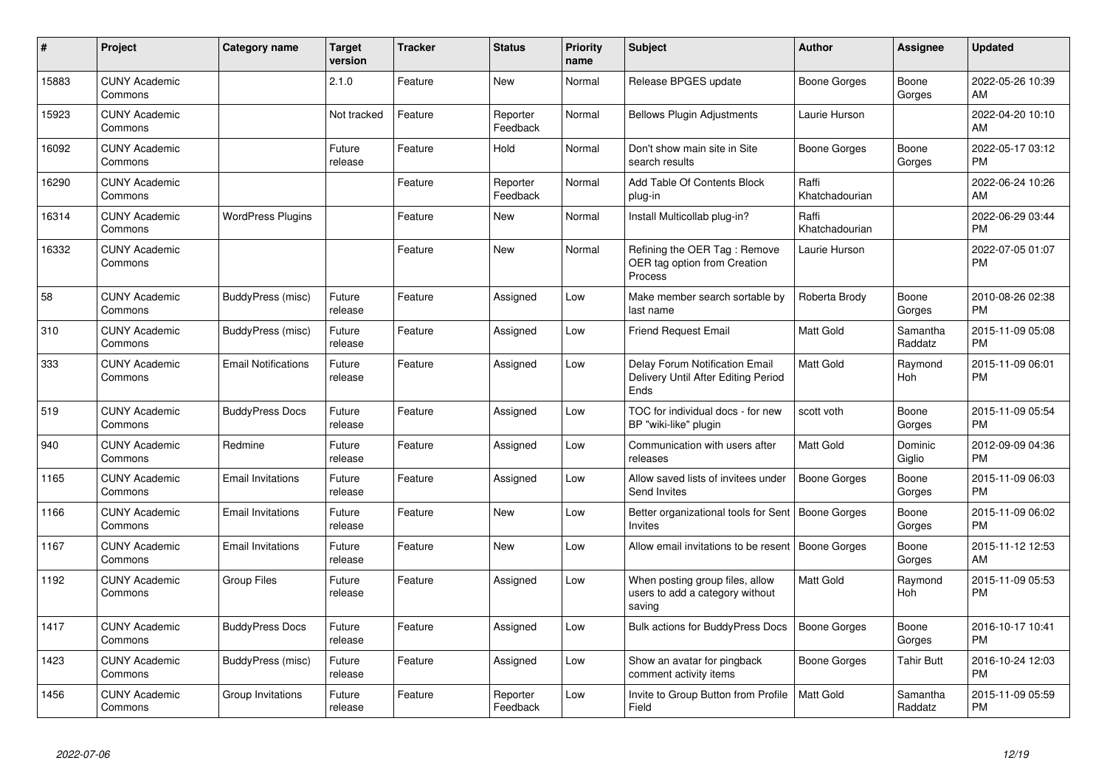| #     | <b>Project</b>                  | Category name              | <b>Target</b><br>version | <b>Tracker</b> | <b>Status</b>        | Priority<br>name | <b>Subject</b>                                                                | <b>Author</b>           | <b>Assignee</b>     | <b>Updated</b>                |
|-------|---------------------------------|----------------------------|--------------------------|----------------|----------------------|------------------|-------------------------------------------------------------------------------|-------------------------|---------------------|-------------------------------|
| 15883 | <b>CUNY Academic</b><br>Commons |                            | 2.1.0                    | Feature        | <b>New</b>           | Normal           | Release BPGES update                                                          | Boone Gorges            | Boone<br>Gorges     | 2022-05-26 10:39<br>AM        |
| 15923 | <b>CUNY Academic</b><br>Commons |                            | Not tracked              | Feature        | Reporter<br>Feedback | Normal           | <b>Bellows Plugin Adjustments</b>                                             | Laurie Hurson           |                     | 2022-04-20 10:10<br>AM        |
| 16092 | <b>CUNY Academic</b><br>Commons |                            | Future<br>release        | Feature        | Hold                 | Normal           | Don't show main site in Site<br>search results                                | Boone Gorges            | Boone<br>Gorges     | 2022-05-17 03:12<br><b>PM</b> |
| 16290 | <b>CUNY Academic</b><br>Commons |                            |                          | Feature        | Reporter<br>Feedback | Normal           | Add Table Of Contents Block<br>plug-in                                        | Raffi<br>Khatchadourian |                     | 2022-06-24 10:26<br>AM        |
| 16314 | <b>CUNY Academic</b><br>Commons | <b>WordPress Plugins</b>   |                          | Feature        | <b>New</b>           | Normal           | Install Multicollab plug-in?                                                  | Raffi<br>Khatchadourian |                     | 2022-06-29 03:44<br><b>PM</b> |
| 16332 | <b>CUNY Academic</b><br>Commons |                            |                          | Feature        | <b>New</b>           | Normal           | Refining the OER Tag: Remove<br>OER tag option from Creation<br>Process       | Laurie Hurson           |                     | 2022-07-05 01:07<br><b>PM</b> |
| 58    | <b>CUNY Academic</b><br>Commons | BuddyPress (misc)          | Future<br>release        | Feature        | Assigned             | Low              | Make member search sortable by<br>last name                                   | Roberta Brody           | Boone<br>Gorges     | 2010-08-26 02:38<br><b>PM</b> |
| 310   | <b>CUNY Academic</b><br>Commons | BuddyPress (misc)          | Future<br>release        | Feature        | Assigned             | Low              | <b>Friend Request Email</b>                                                   | <b>Matt Gold</b>        | Samantha<br>Raddatz | 2015-11-09 05:08<br><b>PM</b> |
| 333   | <b>CUNY Academic</b><br>Commons | <b>Email Notifications</b> | Future<br>release        | Feature        | Assigned             | Low              | Delay Forum Notification Email<br>Delivery Until After Editing Period<br>Ends | <b>Matt Gold</b>        | Raymond<br>Hoh      | 2015-11-09 06:01<br><b>PM</b> |
| 519   | <b>CUNY Academic</b><br>Commons | <b>BuddyPress Docs</b>     | Future<br>release        | Feature        | Assigned             | Low              | TOC for individual docs - for new<br>BP "wiki-like" plugin                    | scott voth              | Boone<br>Gorges     | 2015-11-09 05:54<br><b>PM</b> |
| 940   | <b>CUNY Academic</b><br>Commons | Redmine                    | Future<br>release        | Feature        | Assigned             | Low              | Communication with users after<br>releases                                    | Matt Gold               | Dominic<br>Giglio   | 2012-09-09 04:36<br><b>PM</b> |
| 1165  | <b>CUNY Academic</b><br>Commons | <b>Email Invitations</b>   | Future<br>release        | Feature        | Assigned             | Low              | Allow saved lists of invitees under<br>Send Invites                           | Boone Gorges            | Boone<br>Gorges     | 2015-11-09 06:03<br><b>PM</b> |
| 1166  | <b>CUNY Academic</b><br>Commons | <b>Email Invitations</b>   | Future<br>release        | Feature        | <b>New</b>           | Low              | Better organizational tools for Sent<br><b>Invites</b>                        | Boone Gorges            | Boone<br>Gorges     | 2015-11-09 06:02<br><b>PM</b> |
| 1167  | <b>CUNY Academic</b><br>Commons | <b>Email Invitations</b>   | Future<br>release        | Feature        | <b>New</b>           | Low              | Allow email invitations to be resent                                          | Boone Gorges            | Boone<br>Gorges     | 2015-11-12 12:53<br>AM        |
| 1192  | <b>CUNY Academic</b><br>Commons | <b>Group Files</b>         | Future<br>release        | Feature        | Assigned             | Low              | When posting group files, allow<br>users to add a category without<br>saving  | Matt Gold               | Raymond<br>Hoh      | 2015-11-09 05:53<br><b>PM</b> |
| 1417  | <b>CUNY Academic</b><br>Commons | <b>BuddyPress Docs</b>     | Future<br>release        | Feature        | Assigned             | Low              | <b>Bulk actions for BuddyPress Docs</b>                                       | <b>Boone Gorges</b>     | Boone<br>Gorges     | 2016-10-17 10:41<br><b>PM</b> |
| 1423  | <b>CUNY Academic</b><br>Commons | BuddyPress (misc)          | Future<br>release        | Feature        | Assigned             | Low              | Show an avatar for pingback<br>comment activity items                         | Boone Gorges            | Tahir Butt          | 2016-10-24 12:03<br><b>PM</b> |
| 1456  | <b>CUNY Academic</b><br>Commons | Group Invitations          | Future<br>release        | Feature        | Reporter<br>Feedback | Low              | Invite to Group Button from Profile<br>Field                                  | <b>Matt Gold</b>        | Samantha<br>Raddatz | 2015-11-09 05:59<br><b>PM</b> |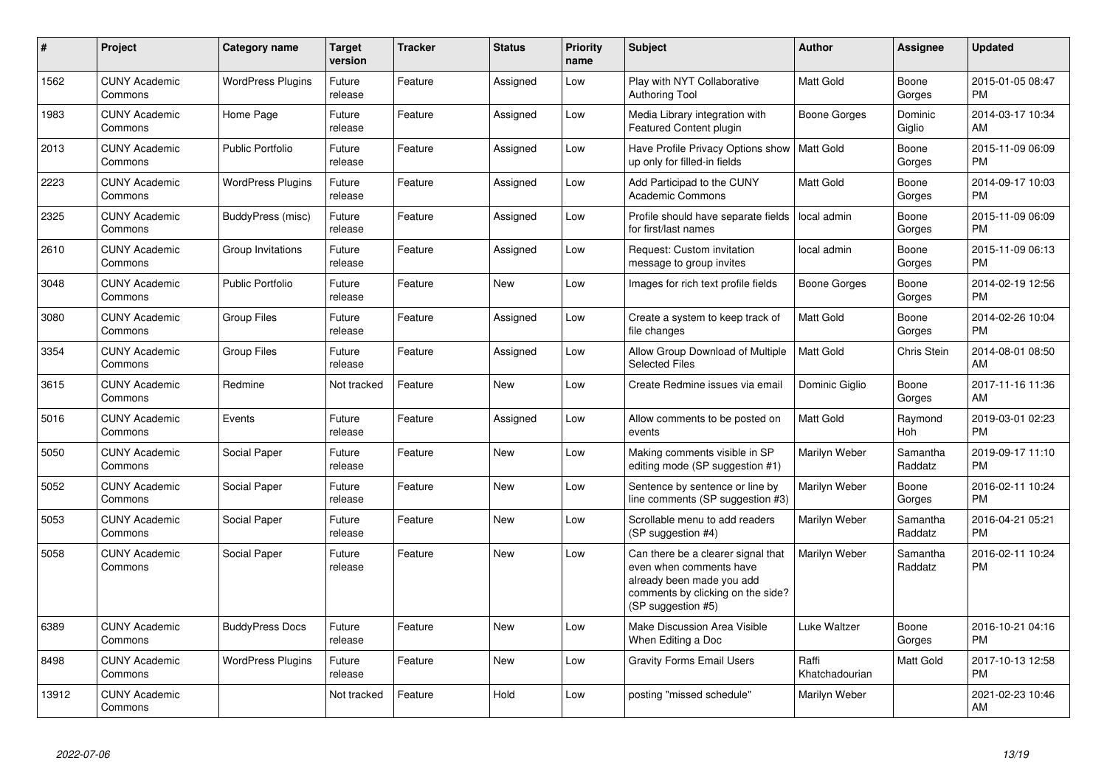| #     | <b>Project</b>                  | <b>Category name</b>     | Target<br>version | <b>Tracker</b> | <b>Status</b> | <b>Priority</b><br>name | <b>Subject</b>                                                                                                                                        | <b>Author</b>           | Assignee            | <b>Updated</b>                |
|-------|---------------------------------|--------------------------|-------------------|----------------|---------------|-------------------------|-------------------------------------------------------------------------------------------------------------------------------------------------------|-------------------------|---------------------|-------------------------------|
| 1562  | <b>CUNY Academic</b><br>Commons | <b>WordPress Plugins</b> | Future<br>release | Feature        | Assigned      | Low                     | Play with NYT Collaborative<br><b>Authoring Tool</b>                                                                                                  | <b>Matt Gold</b>        | Boone<br>Gorges     | 2015-01-05 08:47<br><b>PM</b> |
| 1983  | <b>CUNY Academic</b><br>Commons | Home Page                | Future<br>release | Feature        | Assigned      | Low                     | Media Library integration with<br><b>Featured Content plugin</b>                                                                                      | Boone Gorges            | Dominic<br>Giglio   | 2014-03-17 10:34<br><b>AM</b> |
| 2013  | <b>CUNY Academic</b><br>Commons | <b>Public Portfolio</b>  | Future<br>release | Feature        | Assigned      | Low                     | Have Profile Privacy Options show<br>up only for filled-in fields                                                                                     | <b>Matt Gold</b>        | Boone<br>Gorges     | 2015-11-09 06:09<br><b>PM</b> |
| 2223  | <b>CUNY Academic</b><br>Commons | <b>WordPress Plugins</b> | Future<br>release | Feature        | Assigned      | Low                     | Add Participad to the CUNY<br><b>Academic Commons</b>                                                                                                 | Matt Gold               | Boone<br>Gorges     | 2014-09-17 10:03<br><b>PM</b> |
| 2325  | <b>CUNY Academic</b><br>Commons | BuddyPress (misc)        | Future<br>release | Feature        | Assigned      | Low                     | Profile should have separate fields<br>for first/last names                                                                                           | local admin             | Boone<br>Gorges     | 2015-11-09 06:09<br><b>PM</b> |
| 2610  | <b>CUNY Academic</b><br>Commons | Group Invitations        | Future<br>release | Feature        | Assigned      | Low                     | Request: Custom invitation<br>message to group invites                                                                                                | local admin             | Boone<br>Gorges     | 2015-11-09 06:13<br>PM.       |
| 3048  | <b>CUNY Academic</b><br>Commons | <b>Public Portfolio</b>  | Future<br>release | Feature        | New           | Low                     | Images for rich text profile fields                                                                                                                   | Boone Gorges            | Boone<br>Gorges     | 2014-02-19 12:56<br><b>PM</b> |
| 3080  | <b>CUNY Academic</b><br>Commons | <b>Group Files</b>       | Future<br>release | Feature        | Assigned      | Low                     | Create a system to keep track of<br>file changes                                                                                                      | <b>Matt Gold</b>        | Boone<br>Gorges     | 2014-02-26 10:04<br><b>PM</b> |
| 3354  | <b>CUNY Academic</b><br>Commons | <b>Group Files</b>       | Future<br>release | Feature        | Assigned      | Low                     | Allow Group Download of Multiple<br><b>Selected Files</b>                                                                                             | <b>Matt Gold</b>        | Chris Stein         | 2014-08-01 08:50<br>AM        |
| 3615  | <b>CUNY Academic</b><br>Commons | Redmine                  | Not tracked       | Feature        | <b>New</b>    | Low                     | Create Redmine issues via email                                                                                                                       | Dominic Giglio          | Boone<br>Gorges     | 2017-11-16 11:36<br>AM        |
| 5016  | <b>CUNY Academic</b><br>Commons | Events                   | Future<br>release | Feature        | Assigned      | Low                     | Allow comments to be posted on<br>events                                                                                                              | Matt Gold               | Raymond<br>Hoh      | 2019-03-01 02:23<br><b>PM</b> |
| 5050  | <b>CUNY Academic</b><br>Commons | Social Paper             | Future<br>release | Feature        | <b>New</b>    | Low                     | Making comments visible in SP<br>editing mode (SP suggestion #1)                                                                                      | Marilyn Weber           | Samantha<br>Raddatz | 2019-09-17 11:10<br><b>PM</b> |
| 5052  | <b>CUNY Academic</b><br>Commons | Social Paper             | Future<br>release | Feature        | New           | Low                     | Sentence by sentence or line by<br>line comments (SP suggestion #3)                                                                                   | Marilyn Weber           | Boone<br>Gorges     | 2016-02-11 10:24<br><b>PM</b> |
| 5053  | <b>CUNY Academic</b><br>Commons | Social Paper             | Future<br>release | Feature        | New           | Low                     | Scrollable menu to add readers<br>(SP suggestion #4)                                                                                                  | Marilyn Weber           | Samantha<br>Raddatz | 2016-04-21 05:21<br><b>PM</b> |
| 5058  | <b>CUNY Academic</b><br>Commons | Social Paper             | Future<br>release | Feature        | <b>New</b>    | Low                     | Can there be a clearer signal that<br>even when comments have<br>already been made you add<br>comments by clicking on the side?<br>(SP suggestion #5) | Marilyn Weber           | Samantha<br>Raddatz | 2016-02-11 10:24<br><b>PM</b> |
| 6389  | <b>CUNY Academic</b><br>Commons | <b>BuddyPress Docs</b>   | Future<br>release | Feature        | New           | Low                     | Make Discussion Area Visible<br>When Editing a Doc                                                                                                    | Luke Waltzer            | Boone<br>Gorges     | 2016-10-21 04:16<br><b>PM</b> |
| 8498  | <b>CUNY Academic</b><br>Commons | <b>WordPress Plugins</b> | Future<br>release | Feature        | New           | Low                     | <b>Gravity Forms Email Users</b>                                                                                                                      | Raffi<br>Khatchadourian | Matt Gold           | 2017-10-13 12:58<br><b>PM</b> |
| 13912 | <b>CUNY Academic</b><br>Commons |                          | Not tracked       | Feature        | Hold          | Low                     | posting "missed schedule"                                                                                                                             | Marilyn Weber           |                     | 2021-02-23 10:46<br>AM        |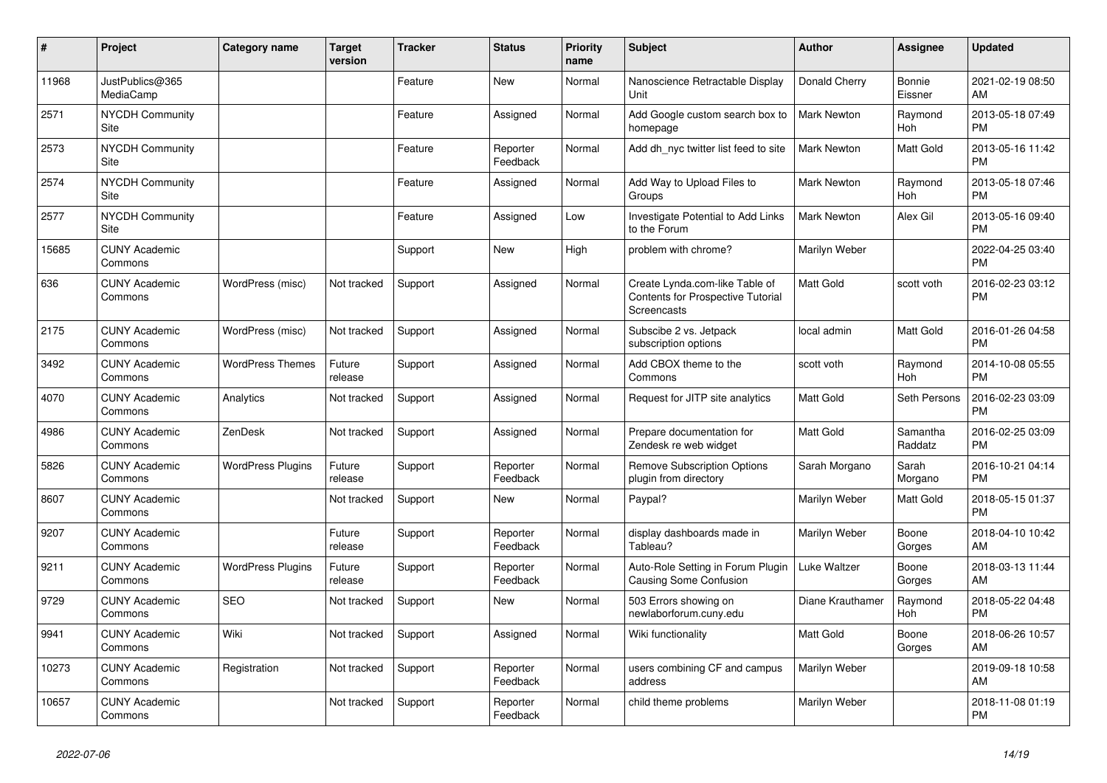| #     | Project                               | Category name            | <b>Target</b><br>version | <b>Tracker</b> | <b>Status</b>        | Priority<br>name | <b>Subject</b>                                                                            | <b>Author</b>      | <b>Assignee</b>     | <b>Updated</b>                |
|-------|---------------------------------------|--------------------------|--------------------------|----------------|----------------------|------------------|-------------------------------------------------------------------------------------------|--------------------|---------------------|-------------------------------|
| 11968 | JustPublics@365<br>MediaCamp          |                          |                          | Feature        | New                  | Normal           | Nanoscience Retractable Display<br>Unit                                                   | Donald Cherry      | Bonnie<br>Eissner   | 2021-02-19 08:50<br>AM        |
| 2571  | <b>NYCDH Community</b><br>Site        |                          |                          | Feature        | Assigned             | Normal           | Add Google custom search box to<br>homepage                                               | <b>Mark Newton</b> | Raymond<br>Hoh      | 2013-05-18 07:49<br><b>PM</b> |
| 2573  | <b>NYCDH Community</b><br><b>Site</b> |                          |                          | Feature        | Reporter<br>Feedback | Normal           | Add dh nyc twitter list feed to site                                                      | <b>Mark Newton</b> | Matt Gold           | 2013-05-16 11:42<br><b>PM</b> |
| 2574  | <b>NYCDH Community</b><br>Site        |                          |                          | Feature        | Assigned             | Normal           | Add Way to Upload Files to<br>Groups                                                      | <b>Mark Newton</b> | Raymond<br>Hoh      | 2013-05-18 07:46<br><b>PM</b> |
| 2577  | <b>NYCDH Community</b><br>Site        |                          |                          | Feature        | Assigned             | Low              | Investigate Potential to Add Links<br>to the Forum                                        | Mark Newton        | Alex Gil            | 2013-05-16 09:40<br><b>PM</b> |
| 15685 | <b>CUNY Academic</b><br>Commons       |                          |                          | Support        | New                  | High             | problem with chrome?                                                                      | Marilyn Weber      |                     | 2022-04-25 03:40<br><b>PM</b> |
| 636   | <b>CUNY Academic</b><br>Commons       | WordPress (misc)         | Not tracked              | Support        | Assigned             | Normal           | Create Lynda.com-like Table of<br><b>Contents for Prospective Tutorial</b><br>Screencasts | <b>Matt Gold</b>   | scott voth          | 2016-02-23 03:12<br><b>PM</b> |
| 2175  | <b>CUNY Academic</b><br>Commons       | WordPress (misc)         | Not tracked              | Support        | Assigned             | Normal           | Subscibe 2 vs. Jetpack<br>subscription options                                            | local admin        | Matt Gold           | 2016-01-26 04:58<br><b>PM</b> |
| 3492  | <b>CUNY Academic</b><br>Commons       | <b>WordPress Themes</b>  | Future<br>release        | Support        | Assigned             | Normal           | Add CBOX theme to the<br>Commons                                                          | scott voth         | Raymond<br>Hoh      | 2014-10-08 05:55<br><b>PM</b> |
| 4070  | <b>CUNY Academic</b><br>Commons       | Analytics                | Not tracked              | Support        | Assigned             | Normal           | Request for JITP site analytics                                                           | <b>Matt Gold</b>   | Seth Persons        | 2016-02-23 03:09<br><b>PM</b> |
| 4986  | <b>CUNY Academic</b><br>Commons       | ZenDesk                  | Not tracked              | Support        | Assigned             | Normal           | Prepare documentation for<br>Zendesk re web widget                                        | <b>Matt Gold</b>   | Samantha<br>Raddatz | 2016-02-25 03:09<br><b>PM</b> |
| 5826  | <b>CUNY Academic</b><br>Commons       | <b>WordPress Plugins</b> | Future<br>release        | Support        | Reporter<br>Feedback | Normal           | <b>Remove Subscription Options</b><br>plugin from directory                               | Sarah Morgano      | Sarah<br>Morgano    | 2016-10-21 04:14<br><b>PM</b> |
| 8607  | <b>CUNY Academic</b><br>Commons       |                          | Not tracked              | Support        | <b>New</b>           | Normal           | Paypal?                                                                                   | Marilyn Weber      | Matt Gold           | 2018-05-15 01:37<br><b>PM</b> |
| 9207  | <b>CUNY Academic</b><br>Commons       |                          | Future<br>release        | Support        | Reporter<br>Feedback | Normal           | display dashboards made in<br>Tableau?                                                    | Marilyn Weber      | Boone<br>Gorges     | 2018-04-10 10:42<br>AM        |
| 9211  | <b>CUNY Academic</b><br>Commons       | <b>WordPress Plugins</b> | Future<br>release        | Support        | Reporter<br>Feedback | Normal           | Auto-Role Setting in Forum Plugin<br>Causing Some Confusion                               | Luke Waltzer       | Boone<br>Gorges     | 2018-03-13 11:44<br>AM        |
| 9729  | <b>CUNY Academic</b><br>Commons       | <b>SEO</b>               | Not tracked              | Support        | <b>New</b>           | Normal           | 503 Errors showing on<br>newlaborforum.cuny.edu                                           | Diane Krauthamer   | Raymond<br>Hoh      | 2018-05-22 04:48<br><b>PM</b> |
| 9941  | <b>CUNY Academic</b><br>Commons       | Wiki                     | Not tracked              | Support        | Assigned             | Normal           | Wiki functionality                                                                        | <b>Matt Gold</b>   | Boone<br>Gorges     | 2018-06-26 10:57<br>AM        |
| 10273 | <b>CUNY Academic</b><br>Commons       | Registration             | Not tracked              | Support        | Reporter<br>Feedback | Normal           | users combining CF and campus<br>address                                                  | Marilyn Weber      |                     | 2019-09-18 10:58<br>AM        |
| 10657 | <b>CUNY Academic</b><br>Commons       |                          | Not tracked              | Support        | Reporter<br>Feedback | Normal           | child theme problems                                                                      | Marilyn Weber      |                     | 2018-11-08 01:19<br><b>PM</b> |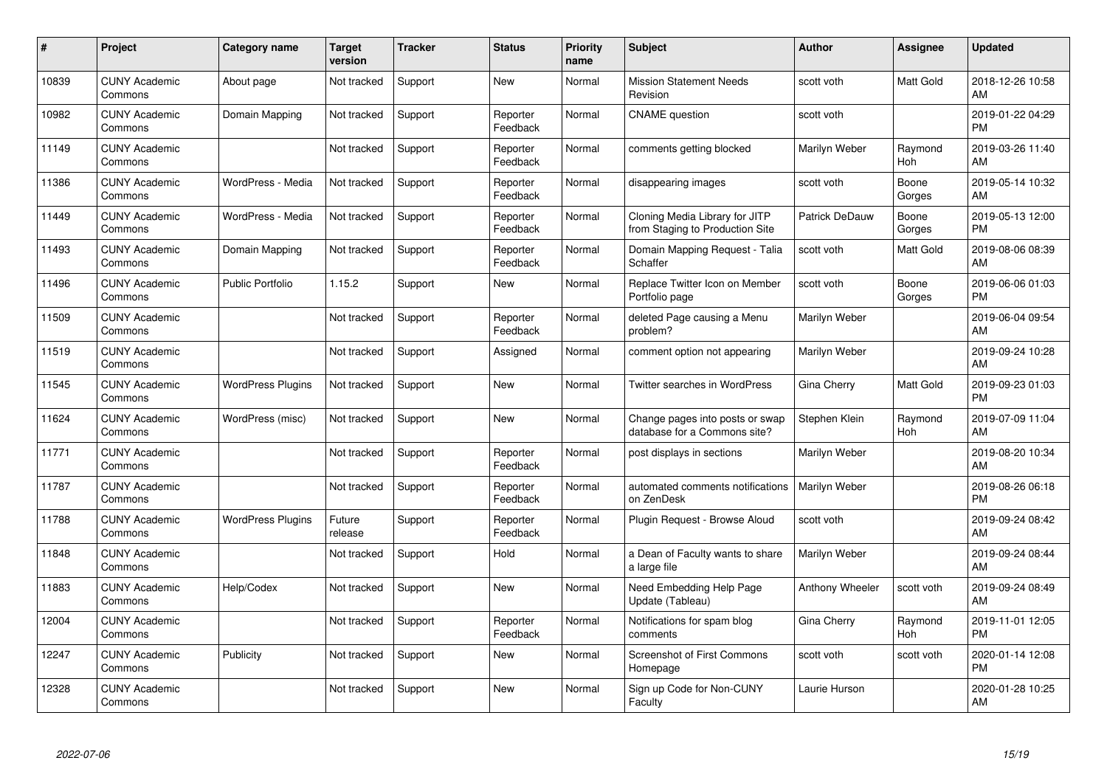| #     | Project                         | <b>Category name</b>     | Target<br>version | <b>Tracker</b> | <b>Status</b>        | <b>Priority</b><br>name | <b>Subject</b>                                                    | <b>Author</b>        | <b>Assignee</b> | <b>Updated</b>                |
|-------|---------------------------------|--------------------------|-------------------|----------------|----------------------|-------------------------|-------------------------------------------------------------------|----------------------|-----------------|-------------------------------|
| 10839 | <b>CUNY Academic</b><br>Commons | About page               | Not tracked       | Support        | <b>New</b>           | Normal                  | <b>Mission Statement Needs</b><br>Revision                        | scott voth           | Matt Gold       | 2018-12-26 10:58<br>AM        |
| 10982 | <b>CUNY Academic</b><br>Commons | Domain Mapping           | Not tracked       | Support        | Reporter<br>Feedback | Normal                  | <b>CNAME</b> question                                             | scott voth           |                 | 2019-01-22 04:29<br><b>PM</b> |
| 11149 | <b>CUNY Academic</b><br>Commons |                          | Not tracked       | Support        | Reporter<br>Feedback | Normal                  | comments getting blocked                                          | Marilyn Weber        | Raymond<br>Hoh  | 2019-03-26 11:40<br>AM        |
| 11386 | <b>CUNY Academic</b><br>Commons | WordPress - Media        | Not tracked       | Support        | Reporter<br>Feedback | Normal                  | disappearing images                                               | scott voth           | Boone<br>Gorges | 2019-05-14 10:32<br>AM        |
| 11449 | <b>CUNY Academic</b><br>Commons | WordPress - Media        | Not tracked       | Support        | Reporter<br>Feedback | Normal                  | Cloning Media Library for JITP<br>from Staging to Production Site | Patrick DeDauw       | Boone<br>Gorges | 2019-05-13 12:00<br><b>PM</b> |
| 11493 | <b>CUNY Academic</b><br>Commons | Domain Mapping           | Not tracked       | Support        | Reporter<br>Feedback | Normal                  | Domain Mapping Request - Talia<br>Schaffer                        | scott voth           | Matt Gold       | 2019-08-06 08:39<br>AM        |
| 11496 | <b>CUNY Academic</b><br>Commons | <b>Public Portfolio</b>  | 1.15.2            | Support        | <b>New</b>           | Normal                  | Replace Twitter Icon on Member<br>Portfolio page                  | scott voth           | Boone<br>Gorges | 2019-06-06 01:03<br><b>PM</b> |
| 11509 | <b>CUNY Academic</b><br>Commons |                          | Not tracked       | Support        | Reporter<br>Feedback | Normal                  | deleted Page causing a Menu<br>problem?                           | Marilyn Weber        |                 | 2019-06-04 09:54<br>AM        |
| 11519 | <b>CUNY Academic</b><br>Commons |                          | Not tracked       | Support        | Assigned             | Normal                  | comment option not appearing                                      | Marilyn Weber        |                 | 2019-09-24 10:28<br>AM        |
| 11545 | <b>CUNY Academic</b><br>Commons | <b>WordPress Plugins</b> | Not tracked       | Support        | <b>New</b>           | Normal                  | Twitter searches in WordPress                                     | Gina Cherry          | Matt Gold       | 2019-09-23 01:03<br><b>PM</b> |
| 11624 | <b>CUNY Academic</b><br>Commons | WordPress (misc)         | Not tracked       | Support        | New                  | Normal                  | Change pages into posts or swap<br>database for a Commons site?   | Stephen Klein        | Raymond<br>Hoh  | 2019-07-09 11:04<br>AM        |
| 11771 | <b>CUNY Academic</b><br>Commons |                          | Not tracked       | Support        | Reporter<br>Feedback | Normal                  | post displays in sections                                         | Marilyn Weber        |                 | 2019-08-20 10:34<br>AM        |
| 11787 | <b>CUNY Academic</b><br>Commons |                          | Not tracked       | Support        | Reporter<br>Feedback | Normal                  | automated comments notifications<br>on ZenDesk                    | <b>Marilyn Weber</b> |                 | 2019-08-26 06:18<br><b>PM</b> |
| 11788 | <b>CUNY Academic</b><br>Commons | <b>WordPress Plugins</b> | Future<br>release | Support        | Reporter<br>Feedback | Normal                  | Plugin Request - Browse Aloud                                     | scott voth           |                 | 2019-09-24 08:42<br>AM        |
| 11848 | <b>CUNY Academic</b><br>Commons |                          | Not tracked       | Support        | Hold                 | Normal                  | a Dean of Faculty wants to share<br>a large file                  | Marilyn Weber        |                 | 2019-09-24 08:44<br>AM        |
| 11883 | <b>CUNY Academic</b><br>Commons | Help/Codex               | Not tracked       | Support        | <b>New</b>           | Normal                  | Need Embedding Help Page<br>Update (Tableau)                      | Anthony Wheeler      | scott voth      | 2019-09-24 08:49<br>AM        |
| 12004 | <b>CUNY Academic</b><br>Commons |                          | Not tracked       | Support        | Reporter<br>Feedback | Normal                  | Notifications for spam blog<br>comments                           | Gina Cherry          | Raymond<br>Hoh  | 2019-11-01 12:05<br><b>PM</b> |
| 12247 | <b>CUNY Academic</b><br>Commons | Publicity                | Not tracked       | Support        | New                  | Normal                  | <b>Screenshot of First Commons</b><br>Homepage                    | scott voth           | scott voth      | 2020-01-14 12:08<br><b>PM</b> |
| 12328 | <b>CUNY Academic</b><br>Commons |                          | Not tracked       | Support        | <b>New</b>           | Normal                  | Sign up Code for Non-CUNY<br>Faculty                              | Laurie Hurson        |                 | 2020-01-28 10:25<br>AM        |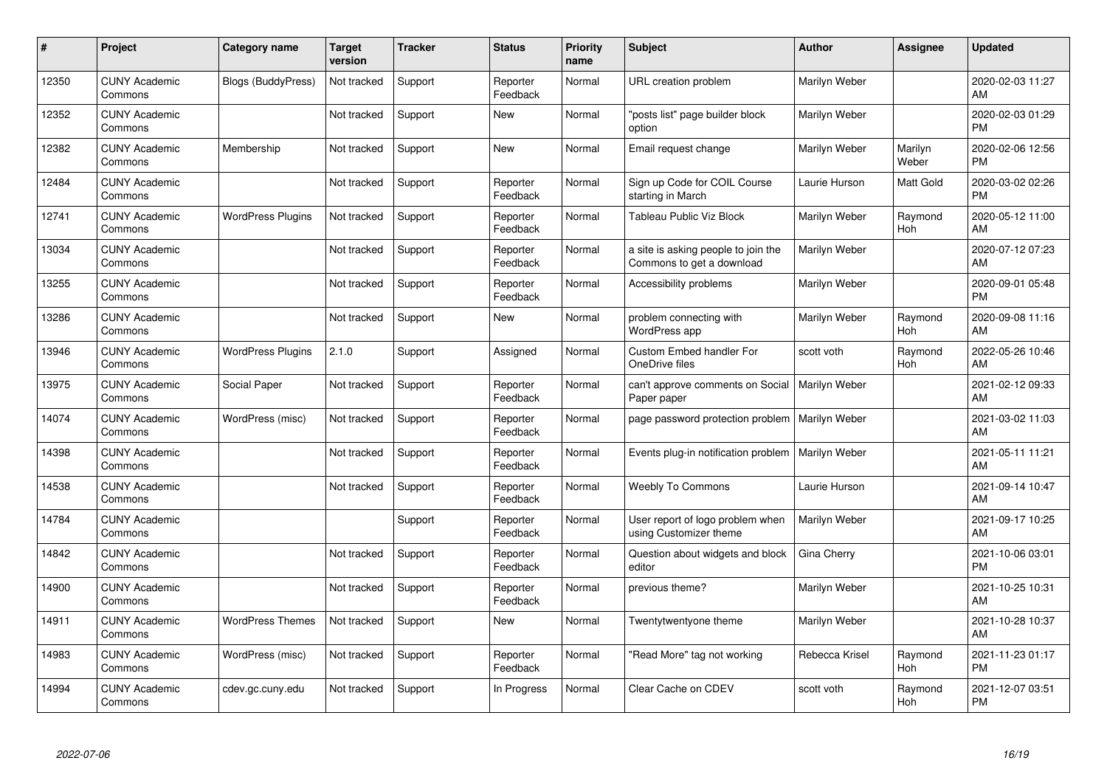| #     | Project                         | <b>Category name</b>      | <b>Target</b><br>version | <b>Tracker</b> | <b>Status</b>        | Priority<br>name | <b>Subject</b>                                                   | <b>Author</b>  | <b>Assignee</b>  | <b>Updated</b>                |
|-------|---------------------------------|---------------------------|--------------------------|----------------|----------------------|------------------|------------------------------------------------------------------|----------------|------------------|-------------------------------|
| 12350 | <b>CUNY Academic</b><br>Commons | <b>Blogs (BuddyPress)</b> | Not tracked              | Support        | Reporter<br>Feedback | Normal           | URL creation problem                                             | Marilyn Weber  |                  | 2020-02-03 11:27<br>AM        |
| 12352 | <b>CUNY Academic</b><br>Commons |                           | Not tracked              | Support        | <b>New</b>           | Normal           | 'posts list" page builder block<br>option                        | Marilyn Weber  |                  | 2020-02-03 01:29<br><b>PM</b> |
| 12382 | <b>CUNY Academic</b><br>Commons | Membership                | Not tracked              | Support        | <b>New</b>           | Normal           | Email request change                                             | Marilyn Weber  | Marilyn<br>Weber | 2020-02-06 12:56<br><b>PM</b> |
| 12484 | <b>CUNY Academic</b><br>Commons |                           | Not tracked              | Support        | Reporter<br>Feedback | Normal           | Sign up Code for COIL Course<br>starting in March                | Laurie Hurson  | Matt Gold        | 2020-03-02 02:26<br><b>PM</b> |
| 12741 | <b>CUNY Academic</b><br>Commons | <b>WordPress Plugins</b>  | Not tracked              | Support        | Reporter<br>Feedback | Normal           | Tableau Public Viz Block                                         | Marilyn Weber  | Raymond<br>Hoh   | 2020-05-12 11:00<br>AM        |
| 13034 | <b>CUNY Academic</b><br>Commons |                           | Not tracked              | Support        | Reporter<br>Feedback | Normal           | a site is asking people to join the<br>Commons to get a download | Marilyn Weber  |                  | 2020-07-12 07:23<br>AM        |
| 13255 | <b>CUNY Academic</b><br>Commons |                           | Not tracked              | Support        | Reporter<br>Feedback | Normal           | Accessibility problems                                           | Marilyn Weber  |                  | 2020-09-01 05:48<br><b>PM</b> |
| 13286 | <b>CUNY Academic</b><br>Commons |                           | Not tracked              | Support        | <b>New</b>           | Normal           | problem connecting with<br><b>WordPress app</b>                  | Marilyn Weber  | Raymond<br>Hoh   | 2020-09-08 11:16<br>AM        |
| 13946 | <b>CUNY Academic</b><br>Commons | <b>WordPress Plugins</b>  | 2.1.0                    | Support        | Assigned             | Normal           | <b>Custom Embed handler For</b><br>OneDrive files                | scott voth     | Raymond<br>Hoh   | 2022-05-26 10:46<br>AM        |
| 13975 | <b>CUNY Academic</b><br>Commons | Social Paper              | Not tracked              | Support        | Reporter<br>Feedback | Normal           | can't approve comments on Social<br>Paper paper                  | Marilyn Weber  |                  | 2021-02-12 09:33<br>AM        |
| 14074 | <b>CUNY Academic</b><br>Commons | WordPress (misc)          | Not tracked              | Support        | Reporter<br>Feedback | Normal           | page password protection problem                                 | Marilyn Weber  |                  | 2021-03-02 11:03<br>AM        |
| 14398 | <b>CUNY Academic</b><br>Commons |                           | Not tracked              | Support        | Reporter<br>Feedback | Normal           | Events plug-in notification problem                              | Marilyn Weber  |                  | 2021-05-11 11:21<br>AM        |
| 14538 | <b>CUNY Academic</b><br>Commons |                           | Not tracked              | Support        | Reporter<br>Feedback | Normal           | <b>Weebly To Commons</b>                                         | Laurie Hurson  |                  | 2021-09-14 10:47<br>AM        |
| 14784 | <b>CUNY Academic</b><br>Commons |                           |                          | Support        | Reporter<br>Feedback | Normal           | User report of logo problem when<br>using Customizer theme       | Marilyn Weber  |                  | 2021-09-17 10:25<br>AM        |
| 14842 | <b>CUNY Academic</b><br>Commons |                           | Not tracked              | Support        | Reporter<br>Feedback | Normal           | Question about widgets and block<br>editor                       | Gina Cherry    |                  | 2021-10-06 03:01<br><b>PM</b> |
| 14900 | <b>CUNY Academic</b><br>Commons |                           | Not tracked              | Support        | Reporter<br>Feedback | Normal           | previous theme?                                                  | Marilyn Weber  |                  | 2021-10-25 10:31<br>AM        |
| 14911 | <b>CUNY Academic</b><br>Commons | <b>WordPress Themes</b>   | Not tracked              | Support        | New                  | Normal           | Twentytwentyone theme                                            | Marilyn Weber  |                  | 2021-10-28 10:37<br>AM        |
| 14983 | <b>CUNY Academic</b><br>Commons | WordPress (misc)          | Not tracked              | Support        | Reporter<br>Feedback | Normal           | "Read More" tag not working                                      | Rebecca Krisel | Raymond<br>Hoh   | 2021-11-23 01:17<br><b>PM</b> |
| 14994 | <b>CUNY Academic</b><br>Commons | cdev.gc.cuny.edu          | Not tracked              | Support        | In Progress          | Normal           | Clear Cache on CDEV                                              | scott voth     | Raymond<br>Hoh   | 2021-12-07 03:51<br><b>PM</b> |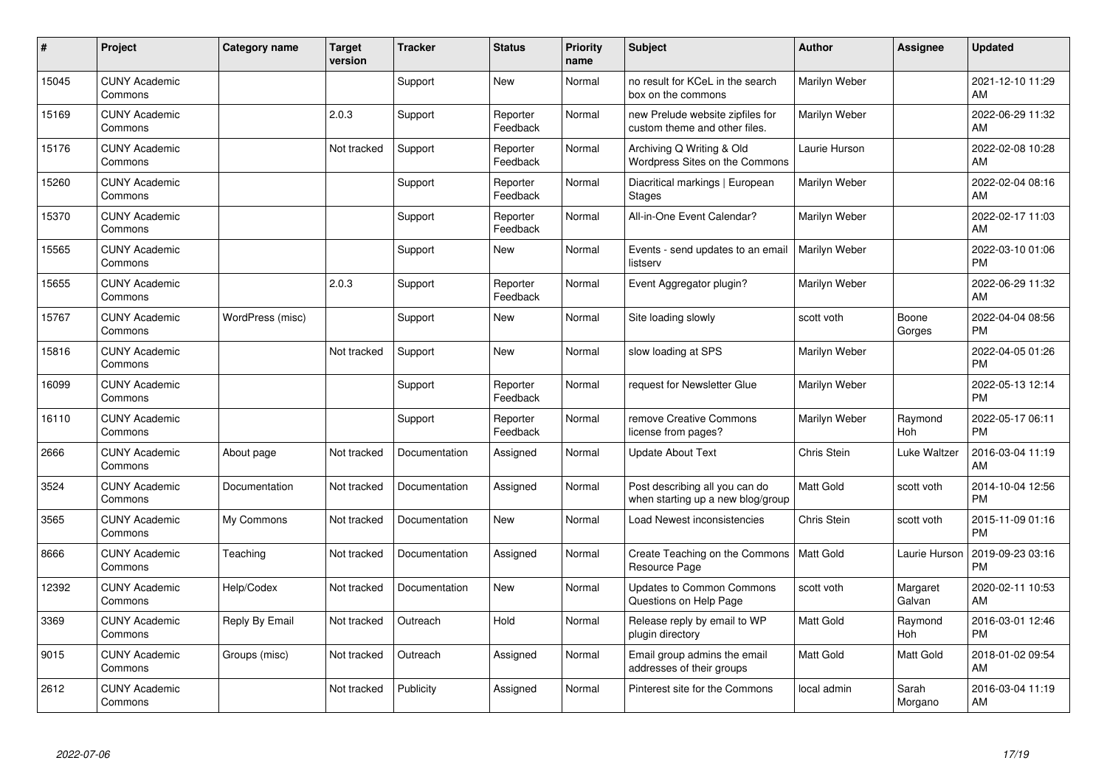| $\#$  | Project                         | Category name    | <b>Target</b><br>version | <b>Tracker</b> | <b>Status</b>        | <b>Priority</b><br>name | <b>Subject</b>                                                      | <b>Author</b>    | <b>Assignee</b>    | <b>Updated</b>                |
|-------|---------------------------------|------------------|--------------------------|----------------|----------------------|-------------------------|---------------------------------------------------------------------|------------------|--------------------|-------------------------------|
| 15045 | <b>CUNY Academic</b><br>Commons |                  |                          | Support        | <b>New</b>           | Normal                  | no result for KCeL in the search<br>box on the commons              | Marilyn Weber    |                    | 2021-12-10 11:29<br>AM        |
| 15169 | <b>CUNY Academic</b><br>Commons |                  | 2.0.3                    | Support        | Reporter<br>Feedback | Normal                  | new Prelude website zipfiles for<br>custom theme and other files.   | Marilyn Weber    |                    | 2022-06-29 11:32<br>AM        |
| 15176 | <b>CUNY Academic</b><br>Commons |                  | Not tracked              | Support        | Reporter<br>Feedback | Normal                  | Archiving Q Writing & Old<br>Wordpress Sites on the Commons         | Laurie Hurson    |                    | 2022-02-08 10:28<br>AM        |
| 15260 | <b>CUNY Academic</b><br>Commons |                  |                          | Support        | Reporter<br>Feedback | Normal                  | Diacritical markings   European<br><b>Stages</b>                    | Marilyn Weber    |                    | 2022-02-04 08:16<br>AM        |
| 15370 | <b>CUNY Academic</b><br>Commons |                  |                          | Support        | Reporter<br>Feedback | Normal                  | All-in-One Event Calendar?                                          | Marilyn Weber    |                    | 2022-02-17 11:03<br>AM        |
| 15565 | <b>CUNY Academic</b><br>Commons |                  |                          | Support        | <b>New</b>           | Normal                  | Events - send updates to an email<br>listserv                       | Marilyn Weber    |                    | 2022-03-10 01:06<br><b>PM</b> |
| 15655 | <b>CUNY Academic</b><br>Commons |                  | 2.0.3                    | Support        | Reporter<br>Feedback | Normal                  | Event Aggregator plugin?                                            | Marilyn Weber    |                    | 2022-06-29 11:32<br>AM        |
| 15767 | <b>CUNY Academic</b><br>Commons | WordPress (misc) |                          | Support        | <b>New</b>           | Normal                  | Site loading slowly                                                 | scott voth       | Boone<br>Gorges    | 2022-04-04 08:56<br><b>PM</b> |
| 15816 | <b>CUNY Academic</b><br>Commons |                  | Not tracked              | Support        | <b>New</b>           | Normal                  | slow loading at SPS                                                 | Marilyn Weber    |                    | 2022-04-05 01:26<br><b>PM</b> |
| 16099 | <b>CUNY Academic</b><br>Commons |                  |                          | Support        | Reporter<br>Feedback | Normal                  | request for Newsletter Glue                                         | Marilyn Weber    |                    | 2022-05-13 12:14<br><b>PM</b> |
| 16110 | <b>CUNY Academic</b><br>Commons |                  |                          | Support        | Reporter<br>Feedback | Normal                  | remove Creative Commons<br>license from pages?                      | Marilyn Weber    | Raymond<br>Hoh     | 2022-05-17 06:11<br><b>PM</b> |
| 2666  | <b>CUNY Academic</b><br>Commons | About page       | Not tracked              | Documentation  | Assigned             | Normal                  | <b>Update About Text</b>                                            | Chris Stein      | Luke Waltzer       | 2016-03-04 11:19<br>AM        |
| 3524  | <b>CUNY Academic</b><br>Commons | Documentation    | Not tracked              | Documentation  | Assigned             | Normal                  | Post describing all you can do<br>when starting up a new blog/group | <b>Matt Gold</b> | scott voth         | 2014-10-04 12:56<br><b>PM</b> |
| 3565  | <b>CUNY Academic</b><br>Commons | My Commons       | Not tracked              | Documentation  | New                  | Normal                  | Load Newest inconsistencies                                         | Chris Stein      | scott voth         | 2015-11-09 01:16<br><b>PM</b> |
| 8666  | <b>CUNY Academic</b><br>Commons | Teaching         | Not tracked              | Documentation  | Assigned             | Normal                  | Create Teaching on the Commons   Matt Gold<br>Resource Page         |                  | Laurie Hurson      | 2019-09-23 03:16<br><b>PM</b> |
| 12392 | <b>CUNY Academic</b><br>Commons | Help/Codex       | Not tracked              | Documentation  | New                  | Normal                  | Updates to Common Commons<br>Questions on Help Page                 | scott voth       | Margaret<br>Galvan | 2020-02-11 10:53<br>AM        |
| 3369  | <b>CUNY Academic</b><br>Commons | Reply By Email   | Not tracked              | Outreach       | Hold                 | Normal                  | Release reply by email to WP<br>plugin directory                    | <b>Matt Gold</b> | Raymond<br>Hoh     | 2016-03-01 12:46<br><b>PM</b> |
| 9015  | <b>CUNY Academic</b><br>Commons | Groups (misc)    | Not tracked              | Outreach       | Assigned             | Normal                  | Email group admins the email<br>addresses of their groups           | <b>Matt Gold</b> | Matt Gold          | 2018-01-02 09:54<br>AM        |
| 2612  | <b>CUNY Academic</b><br>Commons |                  | Not tracked              | Publicity      | Assigned             | Normal                  | Pinterest site for the Commons                                      | local admin      | Sarah<br>Morgano   | 2016-03-04 11:19<br>AM        |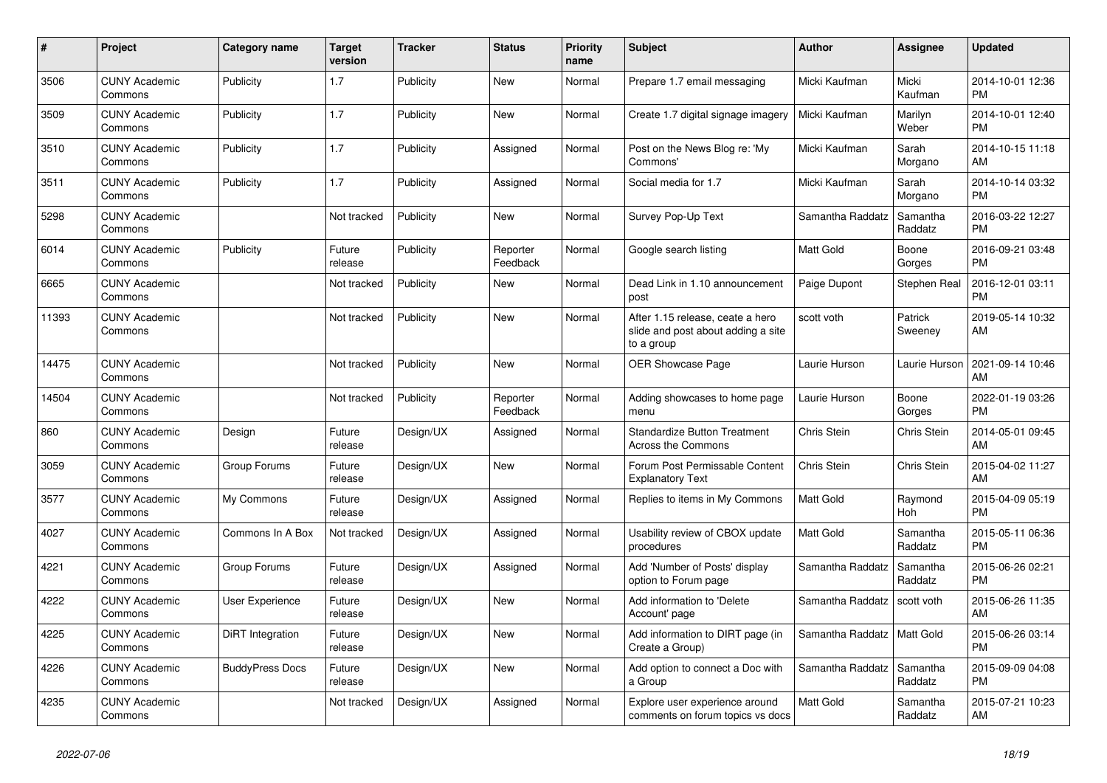| $\pmb{\#}$ | <b>Project</b>                  | <b>Category name</b>   | <b>Target</b><br>version | <b>Tracker</b> | <b>Status</b>        | <b>Priority</b><br>name | <b>Subject</b>                                                                       | <b>Author</b>    | Assignee            | <b>Updated</b>                |
|------------|---------------------------------|------------------------|--------------------------|----------------|----------------------|-------------------------|--------------------------------------------------------------------------------------|------------------|---------------------|-------------------------------|
| 3506       | <b>CUNY Academic</b><br>Commons | Publicity              | 1.7                      | Publicity      | <b>New</b>           | Normal                  | Prepare 1.7 email messaging                                                          | Micki Kaufman    | Micki<br>Kaufman    | 2014-10-01 12:36<br><b>PM</b> |
| 3509       | <b>CUNY Academic</b><br>Commons | Publicity              | 1.7                      | Publicity      | <b>New</b>           | Normal                  | Create 1.7 digital signage imagery                                                   | Micki Kaufman    | Marilyn<br>Weber    | 2014-10-01 12:40<br><b>PM</b> |
| 3510       | <b>CUNY Academic</b><br>Commons | Publicity              | 1.7                      | Publicity      | Assigned             | Normal                  | Post on the News Blog re: 'My<br>Commons'                                            | Micki Kaufman    | Sarah<br>Morgano    | 2014-10-15 11:18<br>AM        |
| 3511       | <b>CUNY Academic</b><br>Commons | Publicity              | 1.7                      | Publicity      | Assigned             | Normal                  | Social media for 1.7                                                                 | Micki Kaufman    | Sarah<br>Morgano    | 2014-10-14 03:32<br><b>PM</b> |
| 5298       | <b>CUNY Academic</b><br>Commons |                        | Not tracked              | Publicity      | New                  | Normal                  | Survey Pop-Up Text                                                                   | Samantha Raddatz | Samantha<br>Raddatz | 2016-03-22 12:27<br><b>PM</b> |
| 6014       | <b>CUNY Academic</b><br>Commons | Publicity              | Future<br>release        | Publicity      | Reporter<br>Feedback | Normal                  | Google search listing                                                                | Matt Gold        | Boone<br>Gorges     | 2016-09-21 03:48<br><b>PM</b> |
| 6665       | <b>CUNY Academic</b><br>Commons |                        | Not tracked              | Publicity      | <b>New</b>           | Normal                  | Dead Link in 1.10 announcement<br>post                                               | Paige Dupont     | Stephen Real        | 2016-12-01 03:11<br><b>PM</b> |
| 11393      | <b>CUNY Academic</b><br>Commons |                        | Not tracked              | Publicity      | <b>New</b>           | Normal                  | After 1.15 release, ceate a hero<br>slide and post about adding a site<br>to a group | scott voth       | Patrick<br>Sweeney  | 2019-05-14 10:32<br>AM        |
| 14475      | <b>CUNY Academic</b><br>Commons |                        | Not tracked              | Publicity      | <b>New</b>           | Normal                  | <b>OER Showcase Page</b>                                                             | Laurie Hurson    | Laurie Hurson       | 2021-09-14 10:46<br>AM        |
| 14504      | <b>CUNY Academic</b><br>Commons |                        | Not tracked              | Publicity      | Reporter<br>Feedback | Normal                  | Adding showcases to home page<br>menu                                                | Laurie Hurson    | Boone<br>Gorges     | 2022-01-19 03:26<br><b>PM</b> |
| 860        | <b>CUNY Academic</b><br>Commons | Design                 | Future<br>release        | Design/UX      | Assigned             | Normal                  | <b>Standardize Button Treatment</b><br>Across the Commons                            | Chris Stein      | Chris Stein         | 2014-05-01 09:45<br>AM        |
| 3059       | <b>CUNY Academic</b><br>Commons | Group Forums           | Future<br>release        | Design/UX      | New                  | Normal                  | Forum Post Permissable Content<br><b>Explanatory Text</b>                            | Chris Stein      | Chris Stein         | 2015-04-02 11:27<br>AM        |
| 3577       | <b>CUNY Academic</b><br>Commons | My Commons             | Future<br>release        | Design/UX      | Assigned             | Normal                  | Replies to items in My Commons                                                       | <b>Matt Gold</b> | Raymond<br>Hoh      | 2015-04-09 05:19<br><b>PM</b> |
| 4027       | <b>CUNY Academic</b><br>Commons | Commons In A Box       | Not tracked              | Design/UX      | Assigned             | Normal                  | Usability review of CBOX update<br>procedures                                        | <b>Matt Gold</b> | Samantha<br>Raddatz | 2015-05-11 06:36<br><b>PM</b> |
| 4221       | <b>CUNY Academic</b><br>Commons | Group Forums           | Future<br>release        | Design/UX      | Assigned             | Normal                  | Add 'Number of Posts' display<br>option to Forum page                                | Samantha Raddatz | Samantha<br>Raddatz | 2015-06-26 02:21<br><b>PM</b> |
| 4222       | <b>CUNY Academic</b><br>Commons | <b>User Experience</b> | Future<br>release        | Design/UX      | <b>New</b>           | Normal                  | Add information to 'Delete<br>Account' page                                          | Samantha Raddatz | scott voth          | 2015-06-26 11:35<br>AM        |
| 4225       | <b>CUNY Academic</b><br>Commons | DiRT Integration       | Future<br>release        | Design/UX      | <b>New</b>           | Normal                  | Add information to DIRT page (in<br>Create a Group)                                  | Samantha Raddatz | Matt Gold           | 2015-06-26 03:14<br><b>PM</b> |
| 4226       | <b>CUNY Academic</b><br>Commons | <b>BuddyPress Docs</b> | Future<br>release        | Design/UX      | <b>New</b>           | Normal                  | Add option to connect a Doc with<br>a Group                                          | Samantha Raddatz | Samantha<br>Raddatz | 2015-09-09 04:08<br><b>PM</b> |
| 4235       | <b>CUNY Academic</b><br>Commons |                        | Not tracked              | Design/UX      | Assigned             | Normal                  | Explore user experience around<br>comments on forum topics vs docs                   | <b>Matt Gold</b> | Samantha<br>Raddatz | 2015-07-21 10:23<br>AM        |